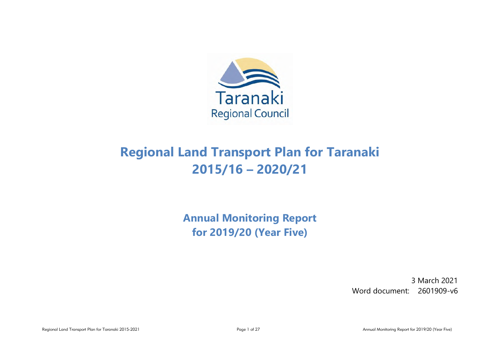

# **Regional Land Transport Plan for Taranaki 2015/16 – 2020/21**

**Annual Monitoring Report for 2019/20 (Year Five)**

> 3 March 2021 Word document: 2601909-v6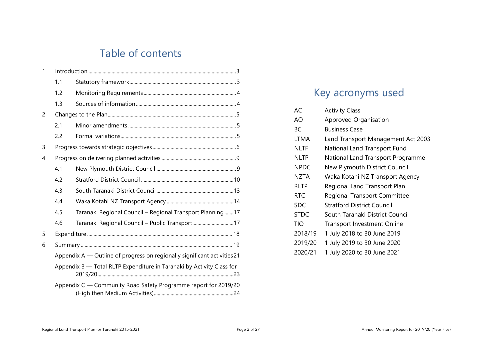# Table of contents

| 1              |     |                                                                          |  |  |  |  |
|----------------|-----|--------------------------------------------------------------------------|--|--|--|--|
|                | 1.1 |                                                                          |  |  |  |  |
|                | 1.2 |                                                                          |  |  |  |  |
|                | 1.3 |                                                                          |  |  |  |  |
| $\overline{2}$ |     |                                                                          |  |  |  |  |
|                | 2.1 |                                                                          |  |  |  |  |
|                | 2.2 |                                                                          |  |  |  |  |
| 3              |     |                                                                          |  |  |  |  |
| 4              |     |                                                                          |  |  |  |  |
|                | 4.1 |                                                                          |  |  |  |  |
|                | 4.2 |                                                                          |  |  |  |  |
|                | 4.3 |                                                                          |  |  |  |  |
|                | 4.4 |                                                                          |  |  |  |  |
|                | 4.5 | Taranaki Regional Council - Regional Transport Planning17                |  |  |  |  |
|                | 4.6 | Taranaki Regional Council - Public Transport17                           |  |  |  |  |
| 5              |     |                                                                          |  |  |  |  |
| 6              |     |                                                                          |  |  |  |  |
|                |     | Appendix A - Outline of progress on regionally significant activities 21 |  |  |  |  |
|                |     | Appendix B - Total RLTP Expenditure in Taranaki by Activity Class for    |  |  |  |  |
|                |     | Appendix C - Community Road Safety Programme report for 2019/20          |  |  |  |  |

# Key acronyms used

| AC.         | <b>Activity Class</b>               |
|-------------|-------------------------------------|
| AO          | Approved Organisation               |
| ВC          | Business Case                       |
| <b>LTMA</b> | Land Transport Management Act 2003  |
| NLTF        | National Land Transport Fund        |
| <b>NLTP</b> | National Land Transport Programme   |
| <b>NPDC</b> | New Plymouth District Council       |
| NZTA        | Waka Kotahi NZ Transport Agency     |
| <b>RLTP</b> | Regional Land Transport Plan        |
| <b>RTC</b>  | <b>Regional Transport Committee</b> |
| SDC         | <b>Stratford District Council</b>   |
| <b>STDC</b> | South Taranaki District Council     |
| TIO         | <b>Transport Investment Online</b>  |
| 2018/19     | 1 July 2018 to 30 June 2019         |
| 2019/20     | 1 July 2019 to 30 June 2020         |
| 2020/21     | 1 July 2020 to 30 June 2021         |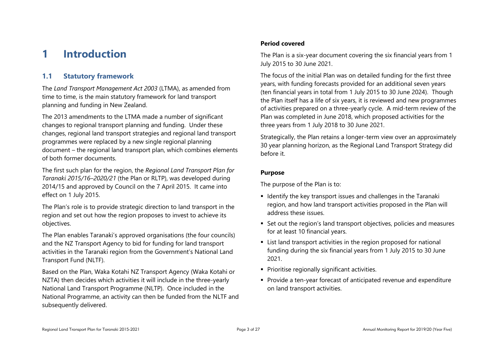# <span id="page-2-0"></span>**1 Introduction**

# <span id="page-2-1"></span>**1.1 Statutory framework**

The *Land Transport Management Act 2003* (LTMA), as amended from time to time, is the main statutory framework for land transport planning and funding in New Zealand.

The 2013 amendments to the LTMA made a number of significant changes to regional transport planning and funding. Under these changes, regional land transport strategies and regional land transport programmes were replaced by a new single regional planning document – the regional land transport plan, which combines elements of both former documents.

The first such plan for the region, the *Regional Land Transport Plan for Taranaki 2015/16–2020/21* (the Plan or RLTP), was developed during 2014/15 and approved by Council on the 7 April 2015. It came into effect on 1 July 2015.

The Plan's role is to provide strategic direction to land transport in the region and set out how the region proposes to invest to achieve its objectives.

The Plan enables Taranaki's approved organisations (the four councils) and the NZ Transport Agency to bid for funding for land transport activities in the Taranaki region from the Government's National Land Transport Fund (NLTF).

Based on the Plan, Waka Kotahi NZ Transport Agency (Waka Kotahi or NZTA) then decides which activities it will include in the three-yearly National Land Transport Programme (NLTP). Once included in the National Programme, an activity can then be funded from the NLTF and subsequently delivered.

### **Period covered**

The Plan is a six-year document covering the six financial years from 1 July 2015 to 30 June 2021.

The focus of the initial Plan was on detailed funding for the first three years, with funding forecasts provided for an additional seven years (ten financial years in total from 1 July 2015 to 30 June 2024). Though the Plan itself has a life of six years, it is reviewed and new programmes of activities prepared on a three-yearly cycle. A mid-term review of the Plan was completed in June 2018, which proposed activities for the three years from 1 July 2018 to 30 June 2021.

Strategically, the Plan retains a longer-term view over an approximately 30 year planning horizon, as the Regional Land Transport Strategy did before it.

### **Purpose**

The purpose of the Plan is to:

- Identify the key transport issues and challenges in the Taranaki region, and how land transport activities proposed in the Plan will address these issues.
- Set out the region's land transport objectives, policies and measures for at least 10 financial years.
- List land transport activities in the region proposed for national funding during the six financial years from 1 July 2015 to 30 June 2021.
- **Prioritise regionally significant activities.**
- Provide a ten-year forecast of anticipated revenue and expenditure on land transport activities.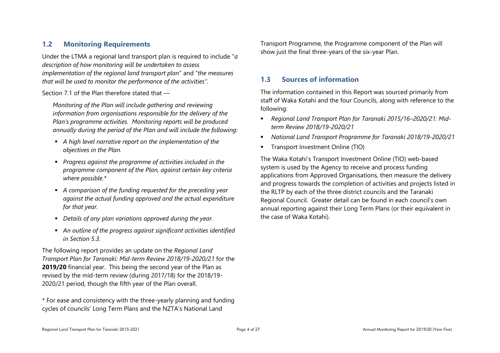## <span id="page-3-0"></span>**1.2 Monitoring Requirements**

Under the LTMA a regional land transport plan is required to include "*a description of how monitoring will be undertaken to assess implementation of the regional land transport plan*" and "*the measures that will be used to monitor the performance of the activities".*

Section 7.1 of the Plan therefore stated that —

*Monitoring of the Plan will include gathering and reviewing information from organisations responsible for the delivery of the Plan's programme activities. Monitoring reports will be produced annually during the period of the Plan and will include the following:*

- *A high level narrative report on the implementation of the objectives in the Plan.*
- *Progress against the programme of activities included in the programme component of the Plan, against certain key criteria where possible.\**
- *A comparison of the funding requested for the preceding year against the actual funding approved and the actual expenditure for that year.*
- *Details of any plan variations approved during the year.*
- *An outline of the progress against significant activities identified in Section 5.3.*

The following report provides an update on the *Regional Land Transport Plan for Taranaki: Mid-term Review 2018/19-2020/21* for the **2019/20** financial year. This being the second year of the Plan as revised by the mid-term review (during 2017/18) for the 2018/19- 2020/21 period, though the fifth year of the Plan overall.

\* For ease and consistency with the three-yearly planning and funding cycles of councils' Long Term Plans and the NZTA's National Land

Transport Programme, the Programme component of the Plan will show just the final three-years of the six-year Plan.

## <span id="page-3-1"></span>**1.3 Sources of information**

The information contained in this Report was sourced primarily from staff of Waka Kotahi and the four Councils, along with reference to the following:

- *Regional Land Transport Plan for Taranaki 2015/16–2020/21: Midterm Review 2018/19-2020/21*
- *National Land Transport Programme for Taranaki 2018/19-2020/21*
- **Transport Investment Online (TIO)**

The Waka Kotahi's Transport Investment Online (TIO) web-based system is used by the Agency to receive and process funding applications from Approved Organisations, then measure the delivery and progress towards the completion of activities and projects listed in the RLTP by each of the three district councils and the Taranaki Regional Council. Greater detail can be found in each council's own annual reporting against their Long Term Plans (or their equivalent in the case of Waka Kotahi).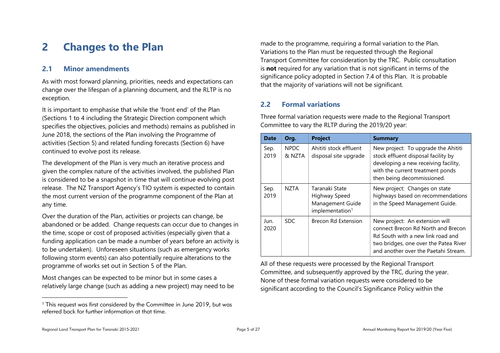# <span id="page-4-0"></span>**2 Changes to the Plan**

### <span id="page-4-1"></span>**2.1 Minor amendments**

As with most forward planning, priorities, needs and expectations can change over the lifespan of a planning document, and the RLTP is no exception.

It is important to emphasise that while the 'front end' of the Plan (Sections 1 to 4 including the Strategic Direction component which specifies the objectives, policies and methods) remains as published in June 2018, the sections of the Plan involving the Programme of activities (Section 5) and related funding forecasts (Section 6) have continued to evolve post its release.

The development of the Plan is very much an iterative process and given the complex nature of the activities involved, the published Plan is considered to be a snapshot in time that will continue evolving post release. The NZ Transport Agency's TIO system is expected to contain the most current version of the programme component of the Plan at any time.

Over the duration of the Plan, activities or projects can change, be abandoned or be added. Change requests can occur due to changes in the time, scope or cost of proposed activities (especially given that a funding application can be made a number of years before an activity is to be undertaken). Unforeseen situations (such as emergency works following storm events) can also potentially require alterations to the programme of works set out in Section 5 of the Plan.

Most changes can be expected to be minor but in some cases a relatively large change (such as adding a new project) may need to be made to the programme, requiring a formal variation to the Plan. Variations to the Plan must be requested through the Regional Transport Committee for consideration by the TRC. Public consultation is **not** required for any variation that is not significant in terms of the significance policy adopted in Section 7.4 of this Plan. It is probable that the majority of variations will not be significant.

# <span id="page-4-2"></span>**2.2 Formal variations**

Three formal variation requests were made to the Regional Transport Committee to vary the RLTP during the 2019/20 year:

| <b>Date</b>  | Org.                  | <b>Project</b>                                                                     | <b>Summary</b>                                                                                                                                                                             |
|--------------|-----------------------|------------------------------------------------------------------------------------|--------------------------------------------------------------------------------------------------------------------------------------------------------------------------------------------|
| Sep.<br>2019 | <b>NPDC</b><br>& NZTA | Ahititi stock effluent<br>disposal site upgrade                                    | New project: To upgrade the Ahititi<br>stock effluent disposal facility by<br>developing a new receiving facility,<br>with the current treatment ponds<br>then being decommissioned.       |
| Sep.<br>2019 | <b>NZTA</b>           | Taranaki State<br>Highway Speed<br>Management Guide<br>implementation <sup>1</sup> | New project: Changes on state<br>highways based on recommendations<br>in the Speed Management Guide.                                                                                       |
| Jun.<br>2020 | SDC.                  | Brecon Rd Extension                                                                | New project: An extension will<br>connect Brecon Rd North and Brecon<br>Rd South with a new link road and<br>two bridges, one over the Patea River<br>and another over the Paetahi Stream. |

All of these requests were processed by the Regional Transport Committee, and subsequently approved by the TRC, during the year. None of these formal variation requests were considered to be significant according to the Council's Significance Policy within the

 $\overline{a}$ 

<sup>&</sup>lt;sup>1</sup> This request was first considered by the Committee in June 2019, but was referred back for further information at that time.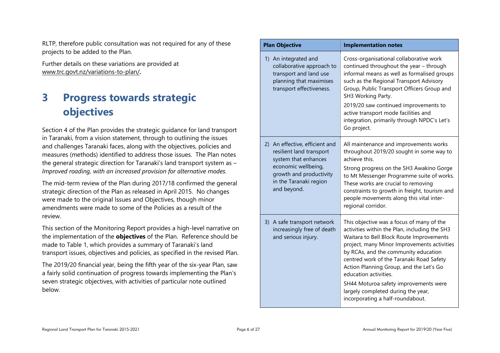RLTP, therefore public consultation was not required for any of these projects to be added to the Plan.

Further details on these variations are provided at [www.trc.govt.nz/variations-to-plan/](http://www.trc.govt.nz/variations-to-plan/)**.**

# <span id="page-5-0"></span>**3 Progress towards strategic objectives**

Section 4 of the Plan provides the strategic guidance for land transport in Taranaki, from a vision statement, through to outlining the issues and challenges Taranaki faces, along with the objectives, policies and measures (methods) identified to address those issues. The Plan notes the general strategic direction for Taranaki's land transport system as – *Improved roading, with an increased provision for alternative modes.* 

The mid-term review of the Plan during 2017/18 confirmed the general strategic direction of the Plan as released in April 2015. No changes were made to the original Issues and Objectives, though minor amendments were made to some of the Policies as a result of the review.

This section of the Monitoring Report provides a high-level narrative on the implementation of the **objectives** of the Plan. Reference should be made to Table 1, which provides a summary of Taranaki's land transport issues, objectives and policies, as specified in the revised Plan.

The 2019/20 financial year, being the fifth year of the six-year Plan, saw a fairly solid continuation of progress towards implementing the Plan's seven strategic objectives, with activities of particular note outlined below.

| <b>Plan Objective</b>                                                                                                                                                         | <b>Implementation notes</b>                                                                                                                                                                                                                                                                                                                                                                                                                                      |
|-------------------------------------------------------------------------------------------------------------------------------------------------------------------------------|------------------------------------------------------------------------------------------------------------------------------------------------------------------------------------------------------------------------------------------------------------------------------------------------------------------------------------------------------------------------------------------------------------------------------------------------------------------|
| 1) An integrated and<br>collaborative approach to<br>transport and land use<br>planning that maximises<br>transport effectiveness.                                            | Cross-organisational collaborative work<br>continued throughout the year - through<br>informal means as well as formalised groups<br>such as the Regional Transport Advisory<br>Group, Public Transport Officers Group and<br>SH3 Working Party.<br>2019/20 saw continued improvements to<br>active transport mode facilities and<br>integration, primarily through NPDC's Let's<br>Go project.                                                                  |
| 2) An effective, efficient and<br>resilient land transport<br>system that enhances<br>economic wellbeing,<br>growth and productivity<br>in the Taranaki region<br>and beyond. | All maintenance and improvements works<br>throughout 2019/20 sought in some way to<br>achieve this.<br>Strong progress on the SH3 Awakino Gorge<br>to Mt Messenger Programme suite of works.<br>These works are crucial to removing<br>constraints to growth in freight, tourism and<br>people movements along this vital inter-<br>regional corridor.                                                                                                           |
| 3) A safe transport network<br>increasingly free of death<br>and serious injury.                                                                                              | This objective was a focus of many of the<br>activities within the Plan, including the SH3<br>Waitara to Bell Block Route Improvements<br>project, many Minor Improvements activities<br>by RCAs, and the community education<br>centred work of the Taranaki Road Safety<br>Action Planning Group, and the Let's Go<br>education activities.<br>SH44 Moturoa safety improvements were<br>largely completed during the year,<br>incorporating a half-roundabout. |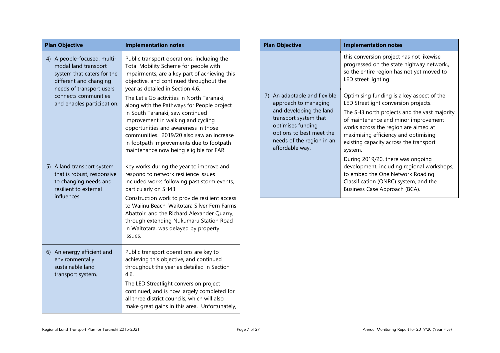| <b>Plan Objective</b> |                                                                                                                                          | <b>Implementation notes</b>                                                                                                                                                                                                                                                                                                                    | <b>Plan Objective</b>                                                                                                                                                                                     | <b>Implementation notes</b>                                                                                                                                                                                                                                                                                    |
|-----------------------|------------------------------------------------------------------------------------------------------------------------------------------|------------------------------------------------------------------------------------------------------------------------------------------------------------------------------------------------------------------------------------------------------------------------------------------------------------------------------------------------|-----------------------------------------------------------------------------------------------------------------------------------------------------------------------------------------------------------|----------------------------------------------------------------------------------------------------------------------------------------------------------------------------------------------------------------------------------------------------------------------------------------------------------------|
|                       | 4) A people-focused, multi-<br>modal land transport<br>system that caters for the<br>different and changing<br>needs of transport users, | Public transport operations, including the<br>Total Mobility Scheme for people with<br>impairments, are a key part of achieving this<br>objective, and continued throughout the<br>year as detailed in Section 4.6.                                                                                                                            |                                                                                                                                                                                                           | this conversion project has not likewise<br>progressed on the state highway network,,<br>so the entire region has not yet moved to<br>LED street lighting.                                                                                                                                                     |
|                       | connects communities<br>and enables participation.                                                                                       | The Let's Go activities in North Taranaki,<br>along with the Pathways for People project<br>in South Taranaki, saw continued<br>improvement in walking and cycling<br>opportunities and awareness in those<br>communities. 2019/20 also saw an increase<br>in footpath improvements due to footpath<br>maintenance now being eligible for FAR. | 7) An adaptable and flexible<br>approach to managing<br>and developing the land<br>transport system that<br>optimises funding<br>options to best meet the<br>needs of the region in an<br>affordable way. | Optimising funding is a key aspect of the<br>LED Streetlight conversion projects.<br>The SH3 north projects and the vast majority<br>of maintenance and minor improvement<br>works across the region are aimed at<br>maximising efficiency and optimising<br>existing capacity across the transport<br>system. |
| influences.           | 5) A land transport system<br>that is robust, responsive<br>to changing needs and<br>resilient to external                               | Key works during the year to improve and<br>respond to network resilience issues<br>included works following past storm events,<br>particularly on SH43.                                                                                                                                                                                       |                                                                                                                                                                                                           | During 2019/20, there was ongoing<br>development, including regional workshops,<br>to embed the One Network Roading<br>Classification (ONRC) system, and the<br>Business Case Approach (BCA).                                                                                                                  |
|                       |                                                                                                                                          | Construction work to provide resilient access<br>to Waiinu Beach, Waitotara Silver Fern Farms<br>Abattoir, and the Richard Alexander Quarry,<br>through extending Nukumaru Station Road<br>in Waitotara, was delayed by property<br>issues.                                                                                                    |                                                                                                                                                                                                           |                                                                                                                                                                                                                                                                                                                |
|                       | 6) An energy efficient and<br>environmentally<br>sustainable land<br>transport system.                                                   | Public transport operations are key to<br>achieving this objective, and continued<br>throughout the year as detailed in Section<br>4.6.                                                                                                                                                                                                        |                                                                                                                                                                                                           |                                                                                                                                                                                                                                                                                                                |
|                       |                                                                                                                                          | The LED Streetlight conversion project<br>continued, and is now largely completed for<br>all three district councils, which will also<br>make great gains in this area. Unfortunately,                                                                                                                                                         |                                                                                                                                                                                                           |                                                                                                                                                                                                                                                                                                                |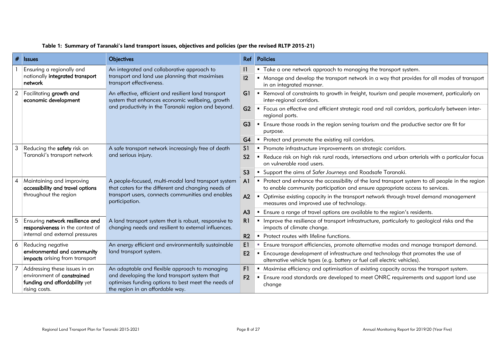| #              | <b>Issues</b>                                                                          | <b>Objectives</b>                                                                                                                        | Ref <sub>1</sub> | <b>Policies</b>                                                                                                                                                                  |
|----------------|----------------------------------------------------------------------------------------|------------------------------------------------------------------------------------------------------------------------------------------|------------------|----------------------------------------------------------------------------------------------------------------------------------------------------------------------------------|
|                | Ensuring a regionally and                                                              | An integrated and collaborative approach to                                                                                              |                  | " Take a one network approach to managing the transport system.                                                                                                                  |
|                | nationally integrated transport<br>network                                             | transport and land use planning that maximises<br>transport effectiveness.                                                               | 12               | " Manage and develop the transport network in a way that provides for all modes of transport<br>in an integrated manner.                                                         |
| $\overline{2}$ | Facilitating growth and<br>economic development                                        | An effective, efficient and resilient land transport<br>system that enhances economic wellbeing, growth                                  | G1               | • Removal of constraints to growth in freight, tourism and people movement, particularly on<br>inter-regional corridors.                                                         |
|                |                                                                                        | and productivity in the Taranaki region and beyond.                                                                                      | G2               | " Focus on effective and efficient strategic road and rail corridors, particularly between inter-<br>regional ports.                                                             |
|                |                                                                                        |                                                                                                                                          |                  | • Ensure those roads in the region serving tourism and the productive sector are fit for<br>purpose.                                                                             |
|                |                                                                                        |                                                                                                                                          | G4               | • Protect and promote the existing rail corridors.                                                                                                                               |
| 3              | Reducing the safety risk on                                                            | A safe transport network increasingly free of death<br>and serious injury.                                                               |                  | • Promote infrastructure improvements on strategic corridors.                                                                                                                    |
|                | Taranaki's transport network                                                           |                                                                                                                                          |                  | " Reduce risk on high risk rural roads, intersections and urban arterials with a particular focus<br>on vulnerable road users.                                                   |
|                |                                                                                        |                                                                                                                                          | S <sub>3</sub>   | • Support the aims of Safer Journeys and Roadsafe Taranaki.                                                                                                                      |
| $\overline{A}$ | Maintaining and improving<br>accessibility and travel options<br>throughout the region | A people-focused, multi-modal land transport system<br>that caters for the different and changing needs of                               | A <sup>1</sup>   | • Protect and enhance the accessibility of the land transport system to all people in the region<br>to enable community participation and ensure appropriate access to services. |
|                |                                                                                        | transport users, connects communities and enables<br>participation.                                                                      |                  | • Optimise existing capacity in the transport network through travel demand management<br>measures and improved use of technology.                                               |
|                |                                                                                        |                                                                                                                                          | A <sub>3</sub>   | " Ensure a range of travel options are available to the region's residents.                                                                                                      |
| 5              | Ensuring network resilience and<br>responsiveness in the context of                    | A land transport system that is robust, responsive to<br>changing needs and resilient to external influences.                            | R1               | Improve the resilience of transport infrastructure, particularly to geological risks and the<br>impacts of climate change.                                                       |
|                | internal and external pressures                                                        |                                                                                                                                          | R <sub>2</sub>   | • Protect routes with lifeline functions.                                                                                                                                        |
| 6              | Reducing negative                                                                      | An energy efficient and environmentally sustainable                                                                                      |                  | Ensure transport efficiencies, promote alternative modes and manage transport demand.                                                                                            |
|                | environmental and community<br>impacts arising from transport                          | land transport system.                                                                                                                   | E2               | Encourage development of infrastructure and technology that promotes the use of<br>alternative vehicle types (e.g. battery or fuel cell electric vehicles).                      |
| 7              | Addressing these issues in an                                                          | An adaptable and flexible approach to managing                                                                                           | F1               | • Maximise efficiency and optimisation of existing capacity across the transport system.                                                                                         |
|                | environment of constrained<br>funding and affordability yet<br>rising costs.           | and developing the land transport system that<br>optimises funding options to best meet the needs of<br>the region in an affordable way. |                  | Ensure road standards are developed to meet ONRC requirements and support land use<br>change                                                                                     |

#### **Table 1: Summary of Taranaki's land transport issues, objectives and policies (per the revised RLTP 2015-21)**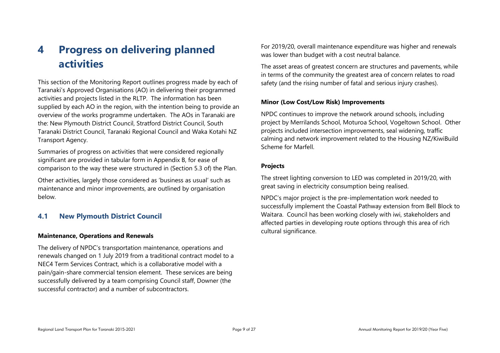# <span id="page-8-0"></span>**4 Progress on delivering planned activities**

This section of the Monitoring Report outlines progress made by each of Taranaki's Approved Organisations (AO) in delivering their programmed activities and projects listed in the RLTP. The information has been supplied by each AO in the region, with the intention being to provide an overview of the works programme undertaken. The AOs in Taranaki are the: New Plymouth District Council, Stratford District Council, South Taranaki District Council, Taranaki Regional Council and Waka Kotahi NZ Transport Agency.

Summaries of progress on activities that were considered regionally significant are provided in tabular form in Appendix B, for ease of comparison to the way these were structured in (Section 5.3 of) the Plan.

Other activities, largely those considered as 'business as usual' such as maintenance and minor improvements, are outlined by organisation below.

## <span id="page-8-1"></span>**4.1 New Plymouth District Council**

#### **Maintenance, Operations and Renewals**

The delivery of NPDC's transportation maintenance, operations and renewals changed on 1 July 2019 from a traditional contract model to a NEC4 Term Services Contract, which is a collaborative model with a pain/gain-share commercial tension element. These services are being successfully delivered by a team comprising Council staff, Downer (the successful contractor) and a number of subcontractors.

For 2019/20, overall maintenance expenditure was higher and renewals was lower than budget with a cost neutral balance.

The asset areas of greatest concern are structures and pavements, while in terms of the community the greatest area of concern relates to road safety (and the rising number of fatal and serious injury crashes).

#### **Minor (Low Cost/Low Risk) Improvements**

NPDC continues to improve the network around schools, including project by Merrilands School, Moturoa School, Vogeltown School. Other projects included intersection improvements, seal widening, traffic calming and network improvement related to the Housing NZ/KiwiBuild Scheme for Marfell.

#### **Projects**

The street lighting conversion to LED was completed in 2019/20, with great saving in electricity consumption being realised.

NPDC's major project is the pre-implementation work needed to successfully implement the Coastal Pathway extension from Bell Block to Waitara. Council has been working closely with iwi, stakeholders and affected parties in developing route options through this area of rich cultural significance.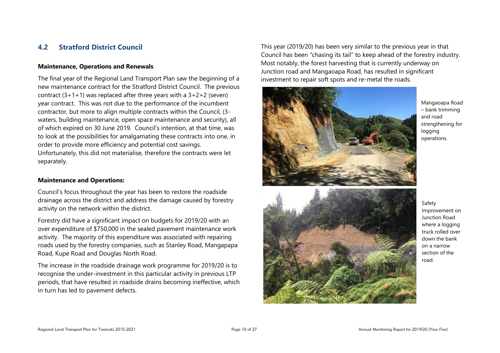## <span id="page-9-0"></span>**4.2 Stratford District Council**

#### **Maintenance, Operations and Renewals**

The final year of the Regional Land Transport Plan saw the beginning of a new maintenance contract for the Stratford District Council. The previous contract  $(3+1+1)$  was replaced after three years with a  $3+2+2$  (seven) year contract. This was not due to the performance of the incumbent contractor, but more to align multiple contracts within the Council, (3 waters, building maintenance, open space maintenance and security), all of which expired on 30 June 2019. Council's intention, at that time, was to look at the possibilities for amalgamating these contracts into one, in order to provide more efficiency and potential cost savings. Unfortunately, this did not materialise, therefore the contracts were let separately.

#### **Maintenance and Operations:**

Council's focus throughout the year has been to restore the roadside drainage across the district and address the damage caused by forestry activity on the network within the district.

Forestry did have a significant impact on budgets for 2019/20 with an over expenditure of \$750,000 in the sealed pavement maintenance work activity. The majority of this expenditure was associated with repairing roads used by the forestry companies, such as Stanley Road, Mangapapa Road, Kupe Road and Douglas North Road.

The increase in the roadside drainage work programme for 2019/20 is to recognise the under-investment in this particular activity in previous LTP periods, that have resulted in roadside drains becoming ineffective, which in turn has led to pavement defects.

This year (2019/20) has been very similar to the previous year in that Council has been "chasing its tail" to keep ahead of the forestry industry. Most notably, the forest harvesting that is currently underway on Junction road and Mangaoapa Road, has resulted in significant investment to repair soft spots and re-metal the roads.



Mangaoapa Road – bank trimming and road strengthening for logging operations.

#### Safety Improvement on Junction Road where a logging truck rolled over down the bank on a narrow section of the road.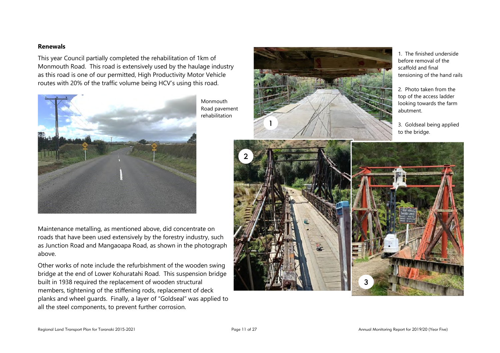#### **Renewals**

This year Council partially completed the rehabilitation of 1km of Monmouth Road. This road is extensively used by the haulage industry as this road is one of our permitted, High Productivity Motor Vehicle routes with 20% of the traffic volume being HCV's using this road.



Monmouth Road pavement rehabilitation



1. The finished underside before removal of the scaffold and final tensioning of the hand rails

2. Photo taken from the top of the access ladder looking towards the farm abutment.

3. Goldseal being applied to the bridge.



Maintenance metalling, as mentioned above, did concentrate on roads that have been used extensively by the forestry industry, such as Junction Road and Mangaoapa Road, as shown in the photograph above.

Other works of note include the refurbishment of the wooden swing bridge at the end of Lower Kohuratahi Road. This suspension bridge built in 1938 required the replacement of wooden structural members, tightening of the stiffening rods, replacement of deck planks and wheel guards. Finally, a layer of "Goldseal" was applied to all the steel components, to prevent further corrosion.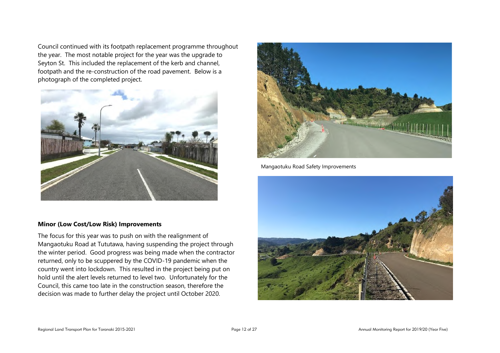Council continued with its footpath replacement programme throughout the year. The most notable project for the year was the upgrade to Seyton St. This included the replacement of the kerb and channel, footpath and the re-construction of the road pavement. Below is a photograph of the completed project.



#### **Minor (Low Cost/Low Risk) Improvements**

The focus for this year was to push on with the realignment of Mangaotuku Road at Tututawa, having suspending the project through the winter period. Good progress was being made when the contractor returned, only to be scuppered by the COVID-19 pandemic when the country went into lockdown. This resulted in the project being put on hold until the alert levels returned to level two. Unfortunately for the Council, this came too late in the construction season, therefore the decision was made to further delay the project until October 2020.



Mangaotuku Road Safety Improvements

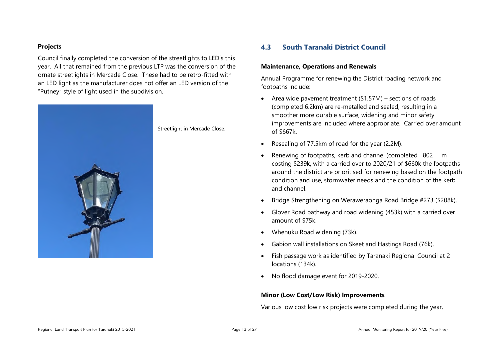#### **Projects**

Council finally completed the conversion of the streetlights to LED's this year. All that remained from the previous LTP was the conversion of the ornate streetlights in Mercade Close. These had to be retro-fitted with an LED light as the manufacturer does not offer an LED version of the "Putney" style of light used in the subdivision.



Streetlight in Mercade Close.

### <span id="page-12-0"></span>**4.3 South Taranaki District Council**

#### **Maintenance, Operations and Renewals**

Annual Programme for renewing the District roading network and footpaths include:

- Area wide pavement treatment (S1.57M) sections of roads (completed 6.2km) are re-metalled and sealed, resulting in a smoother more durable surface, widening and minor safety improvements are included where appropriate. Carried over amount of \$667k.
- Resealing of 77.5km of road for the year (2.2M).
- Renewing of footpaths, kerb and channel (completed 802 m costing \$239k, with a carried over to 2020/21 of \$660k the footpaths around the district are prioritised for renewing based on the footpath condition and use, stormwater needs and the condition of the kerb and channel.
- Bridge Strengthening on Weraweraonga Road Bridge #273 (\$208k).
- Glover Road pathway and road widening (453k) with a carried over amount of \$75k.
- Whenuku Road widening (73k).
- Gabion wall installations on Skeet and Hastings Road (76k).
- Fish passage work as identified by Taranaki Regional Council at 2 locations (134k).
- No flood damage event for 2019-2020.

#### **Minor (Low Cost/Low Risk) Improvements**

Various low cost low risk projects were completed during the year.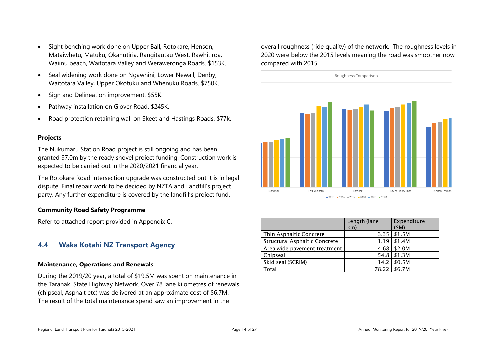- Sight benching work done on Upper Ball, Rotokare, Henson, Mataiwhetu, Matuku, Okahutiria, Rangitautau West, Rawhitiroa, Waiinu beach, Waitotara Valley and Weraweronga Roads. \$153K.
- Seal widening work done on Ngawhini, Lower Newall, Denby, Waitotara Valley, Upper Okotuku and Whenuku Roads. \$750K.
- Sign and Delineation improvement. \$55K.
- Pathway installation on Glover Road. \$245K.
- Road protection retaining wall on Skeet and Hastings Roads. \$77k.

#### **Projects**

The Nukumaru Station Road project is still ongoing and has been granted \$7.0m by the ready shovel project funding. Construction work is expected to be carried out in the 2020/2021 financial year.

The Rotokare Road intersection upgrade was constructed but it is in legal dispute. Final repair work to be decided by NZTA and Landfill's project party. Any further expenditure is covered by the landfill's project fund.

#### **Community Road Safety Programme**

Refer to attached report provided in Appendix C.

# <span id="page-13-0"></span>**4.4 Waka Kotahi NZ Transport Agency**

#### **Maintenance, Operations and Renewals**

During the 2019/20 year, a total of \$19.5M was spent on maintenance in the Taranaki State Highway Network. Over 78 lane kilometres of renewals (chipseal, Asphalt etc) was delivered at an approximate cost of \$6.7M. The result of the total maintenance spend saw an improvement in the

overall roughness (ride quality) of the network. The roughness levels in 2020 were below the 2015 levels meaning the road was smoother now compared with 2015.



|                                      | Length (lane<br>km) | Expenditure<br>(SM) |
|--------------------------------------|---------------------|---------------------|
| Thin Asphaltic Concrete              | 3.35                | \$1.5M              |
| <b>Structural Asphaltic Concrete</b> | 1.19                | \$1.4M              |
| Area wide pavement treatment         | 4.68                | \$2.0M              |
| Chipseal                             | 54.8                | \$1.3M              |
| Skid seal (SCRIM)                    | 14.2                | \$0.5M              |
| Total                                | 78.22               | \$6.7M              |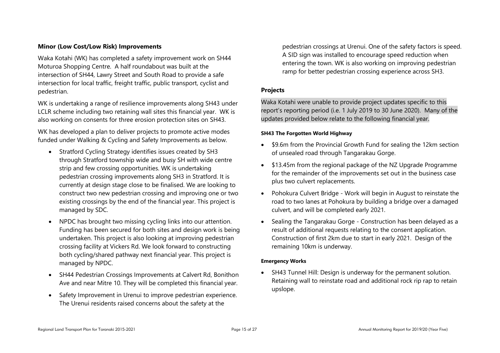#### **Minor (Low Cost/Low Risk) Improvements**

Waka Kotahi (WK) has completed a safety improvement work on SH44 Moturoa Shopping Centre. A half roundabout was built at the intersection of SH44, Lawry Street and South Road to provide a safe intersection for local traffic, freight traffic, public transport, cyclist and pedestrian.

WK is undertaking a range of resilience improvements along SH43 under LCLR scheme including two retaining wall sites this financial year. WK is also working on consents for three erosion protection sites on SH43.

WK has developed a plan to deliver projects to promote active modes funded under Walking & Cycling and Safety Improvements as below.

- Stratford Cycling Strategy identifies issues created by SH3 through Stratford township wide and busy SH with wide centre strip and few crossing opportunities. WK is undertaking pedestrian crossing improvements along SH3 in Stratford. It is currently at design stage close to be finalised. We are looking to construct two new pedestrian crossing and improving one or two existing crossings by the end of the financial year. This project is managed by SDC.
- NPDC has brought two missing cycling links into our attention. Funding has been secured for both sites and design work is being undertaken. This project is also looking at improving pedestrian crossing facility at Vickers Rd. We look forward to constructing both cycling/shared pathway next financial year. This project is managed by NPDC.
- SH44 Pedestrian Crossings Improvements at Calvert Rd, Bonithon Ave and near Mitre 10. They will be completed this financial year.
- Safety Improvement in Urenui to improve pedestrian experience. The Urenui residents raised concerns about the safety at the

pedestrian crossings at Urenui. One of the safety factors is speed. A SID sign was installed to encourage speed reduction when entering the town. WK is also working on improving pedestrian ramp for better pedestrian crossing experience across SH3.

### **Projects**

Waka Kotahi were unable to provide project updates specific to this report's reporting period (i.e. 1 July 2019 to 30 June 2020). Many of the updates provided below relate to the following financial year.

#### **SH43 The Forgotten World Highway**

- \$9.6m from the Provincial Growth Fund for sealing the 12km section of unsealed road through Tangarakau Gorge.
- \$13.45m from the regional package of the NZ Upgrade Programme for the remainder of the improvements set out in the business case plus two culvert replacements.
- Pohokura Culvert Bridge Work will begin in August to reinstate the road to two lanes at Pohokura by building a bridge over a damaged culvert, and will be completed early 2021.
- Sealing the Tangarakau Gorge Construction has been delayed as a result of additional requests relating to the consent application. Construction of first 2km due to start in early 2021. Design of the remaining 10km is underway.

#### **Emergency Works**

 SH43 Tunnel Hill: Design is underway for the permanent solution. Retaining wall to reinstate road and additional rock rip rap to retain upslope.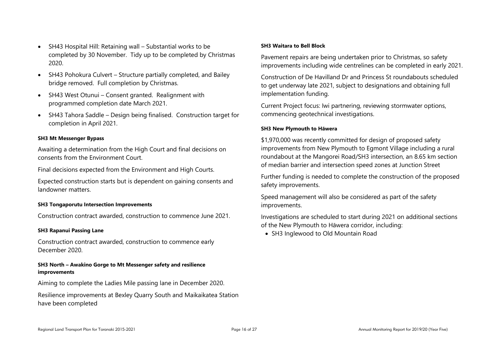- SH43 Hospital Hill: Retaining wall Substantial works to be completed by 30 November. Tidy up to be completed by Christmas 2020.
- SH43 Pohokura Culvert Structure partially completed, and Bailey bridge removed. Full completion by Christmas.
- SH43 West Otunui Consent granted. Realignment with programmed completion date March 2021.
- SH43 Tahora Saddle Design being finalised. Construction target for completion in April 2021.

#### **SH3 Mt Messenger Bypass**

Awaiting a determination from the High Court and final decisions on consents from the Environment Court.

Final decisions expected from the Environment and High Courts.

Expected construction starts but is dependent on gaining consents and landowner matters.

#### **SH3 Tongaporutu Intersection Improvements**

Construction contract awarded, construction to commence June 2021.

#### **SH3 Rapanui Passing Lane**

Construction contract awarded, construction to commence early December 2020.

#### **SH3 North – Awakino Gorge to Mt Messenger safety and resilience improvements**

Aiming to complete the Ladies Mile passing lane in December 2020.

Resilience improvements at Bexley Quarry South and Maikaikatea Station have been completed

#### **SH3 Waitara to Bell Block**

Pavement repairs are being undertaken prior to Christmas, so safety improvements including wide centrelines can be completed in early 2021.

Construction of De Havilland Dr and Princess St roundabouts scheduled to get underway late 2021, subject to designations and obtaining full implementation funding.

Current Project focus: Iwi partnering, reviewing stormwater options, commencing geotechnical investigations.

#### **SH3 New Plymouth to Hāwera**

\$1,970,000 was recently committed for design of proposed safety improvements from New Plymouth to Egmont Village including a rural roundabout at the Mangorei Road/SH3 intersection, an 8.65 km section of median barrier and intersection speed zones at Junction Street

Further funding is needed to complete the construction of the proposed safety improvements.

Speed management will also be considered as part of the safety improvements.

Investigations are scheduled to start during 2021 on additional sections of the New Plymouth to Hāwera corridor, including:

<span id="page-15-0"></span>SH3 Inglewood to Old Mountain Road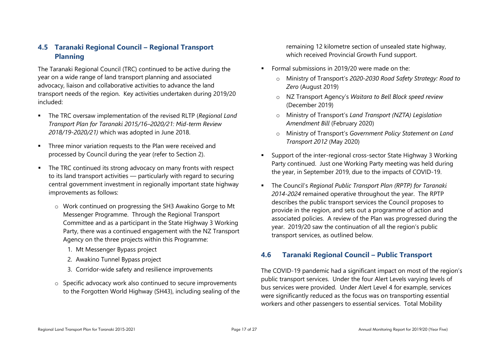# **4.5 Taranaki Regional Council – Regional Transport Planning**

The Taranaki Regional Council (TRC) continued to be active during the year on a wide range of land transport planning and associated advocacy, liaison and collaborative activities to advance the land transport needs of the region. Key activities undertaken during 2019/20 included:

- The TRC oversaw implementation of the revised RLTP (*Regional Land Transport Plan for Taranaki 2015/16–2020/21: Mid-term Review 2018/19-2020/21)* which was adopted in June 2018.
- **Three minor variation requests to the Plan were received and** processed by Council during the year (refer to Section 2).
- **The TRC continued its strong advocacy on many fronts with respect** to its land transport activities — particularly with regard to securing central government investment in regionally important state highway improvements as follows:
	- o Work continued on progressing the SH3 Awakino Gorge to Mt Messenger Programme. Through the Regional Transport Committee and as a participant in the State Highway 3 Working Party, there was a continued engagement with the NZ Transport Agency on the three projects within this Programme:
		- 1. Mt Messenger Bypass project
		- 2. Awakino Tunnel Bypass project
		- 3. Corridor-wide safety and resilience improvements
	- o Specific advocacy work also continued to secure improvements to the Forgotten World Highway (SH43), including sealing of the

remaining 12 kilometre section of unsealed state highway, which received Provincial Growth Fund support.

- Formal submissions in 2019/20 were made on the:
	- o Ministry of Transport's *2020-2030 Road Safety Strategy: Road to Zero* (August 2019)
	- o NZ Transport Agency's *Waitara to Bell Block speed review* (December 2019)
	- o Ministry of Transport's *Land Transport (NZTA) Legislation Amendment Bill* (February 2020)
	- o Ministry of Transport's *Government Policy Statement on Land Transport 2012* (May 2020)
- Support of the inter-regional cross-sector State Highway 3 Working Party continued. Just one Working Party meeting was held during the year, in September 2019, due to the impacts of COVID-19.
- The Council's *Regional Public Transport Plan (RPTP) for Taranaki 2014-2024* remained operative throughout the year. The RPTP describes the public transport services the Council proposes to provide in the region, and sets out a programme of action and associated policies. A review of the Plan was progressed during the year. 2019/20 saw the continuation of all the region's public transport services, as outlined below.

# <span id="page-16-0"></span>**4.6 Taranaki Regional Council – Public Transport**

The COVID-19 pandemic had a significant impact on most of the region's public transport services. Under the four Alert Levels varying levels of bus services were provided. Under Alert Level 4 for example, services were significantly reduced as the focus was on transporting essential workers and other passengers to essential services. Total Mobility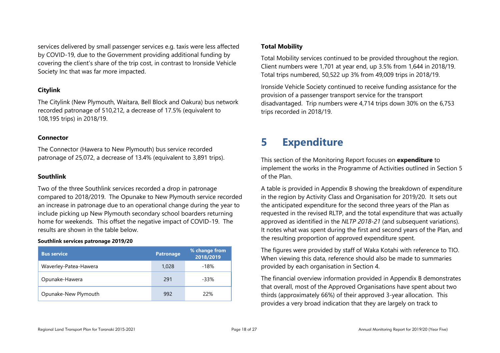services delivered by small passenger services e.g. taxis were less affected by COVID-19, due to the Government providing additional funding by covering the client's share of the trip cost, in contrast to Ironside Vehicle Society Inc that was far more impacted.

#### **Citylink**

The Citylink (New Plymouth, Waitara, Bell Block and Oakura) bus network recorded patronage of 510,212, a decrease of 17.5% (equivalent to 108,195 trips) in 2018/19.

#### **Connector**

The Connector (Hawera to New Plymouth) bus service recorded patronage of 25,072, a decrease of 13.4% (equivalent to 3,891 trips).

#### **Southlink**

Two of the three Southlink services recorded a drop in patronage compared to 2018/2019. The Opunake to New Plymouth service recorded an increase in patronage due to an operational change during the year to include picking up New Plymouth secondary school boarders returning home for weekends. This offset the negative impact of COVID-19. The results are shown in the table below.

#### **Southlink services patronage 2019/20**

| <b>Bus service</b>    | <b>Patronage</b> | % change from<br>2018/2019 |
|-----------------------|------------------|----------------------------|
| Waverley-Patea-Hawera | 1,028            | -18%                       |
| Opunake-Hawera        | 291              | $-33%$                     |
| Opunake-New Plymouth  | 992              | 22%                        |

#### **Total Mobility**

Total Mobility services continued to be provided throughout the region. Client numbers were 1,701 at year end, up 3.5% from 1,644 in 2018/19. Total trips numbered, 50,522 up 3% from 49,009 trips in 2018/19.

Ironside Vehicle Society continued to receive funding assistance for the provision of a passenger transport service for the transport disadvantaged. Trip numbers were 4,714 trips down 30% on the 6,753 trips recorded in 2018/19.

# <span id="page-17-0"></span>**5 Expenditure**

This section of the Monitoring Report focuses on **expenditure** to implement the works in the Programme of Activities outlined in Section 5 of the Plan.

A table is provided in Appendix B showing the breakdown of expenditure in the region by Activity Class and Organisation for 2019/20. It sets out the anticipated expenditure for the second three years of the Plan as requested in the revised RLTP, and the total expenditure that was actually approved as identified in the *NLTP 2018-21* (and subsequent variations). It notes what was spent during the first and second years of the Plan, and the resulting proportion of approved expenditure spent.

The figures were provided by staff of Waka Kotahi with reference to TIO. When viewing this data, reference should also be made to summaries provided by each organisation in Section 4.

The financial overview information provided in Appendix B demonstrates that overall, most of the Approved Organisations have spent about two thirds (approximately 66%) of their approved 3-year allocation. This provides a very broad indication that they are largely on track to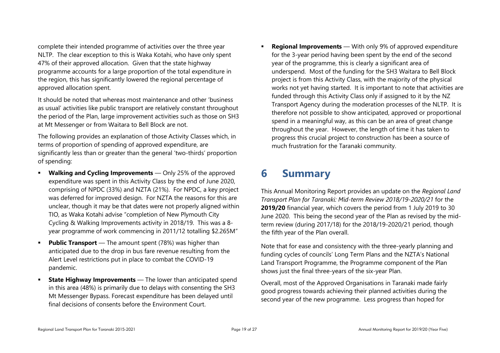complete their intended programme of activities over the three year NLTP. The clear exception to this is Waka Kotahi, who have only spent 47% of their approved allocation. Given that the state highway programme accounts for a large proportion of the total expenditure in the region, this has significantly lowered the regional percentage of approved allocation spent.

It should be noted that whereas most maintenance and other 'business as usual' activities like public transport are relatively constant throughout the period of the Plan, large improvement activities such as those on SH3 at Mt Messenger or from Waitara to Bell Block are not.

The following provides an explanation of those Activity Classes which, in terms of proportion of spending of approved expenditure, are significantly less than or greater than the general 'two-thirds' proportion of spending:

- **Walking and Cycling Improvements** Only 25% of the approved expenditure was spent in this Activity Class by the end of June 2020, comprising of NPDC (33%) and NZTA (21%). For NPDC, a key project was deferred for improved design. For NZTA the reasons for this are unclear, though it may be that dates were not properly aligned within TIO, as Waka Kotahi advise "completion of New Plymouth City Cycling & Walking Improvements activity in 2018/19. This was a 8 year programme of work commencing in 2011/12 totalling \$2.265M"
- **Public Transport** The amount spent (78%) was higher than anticipated due to the drop in bus fare revenue resulting from the Alert Level restrictions put in place to combat the COVID-19 pandemic.
- **State Highway Improvements** The lower than anticipated spend in this area (48%) is primarily due to delays with consenting the SH3 Mt Messenger Bypass. Forecast expenditure has been delayed until final decisions of consents before the Environment Court.

 **Regional Improvements** — With only 9% of approved expenditure for the 3-year period having been spent by the end of the second year of the programme, this is clearly a significant area of underspend. Most of the funding for the SH3 Waitara to Bell Block project is from this Activity Class, with the majority of the physical works not yet having started. It is important to note that activities are funded through this Activity Class only if assigned to it by the NZ Transport Agency during the moderation processes of the NLTP. It is therefore not possible to show anticipated, approved or proportional spend in a meaningful way, as this can be an area of great change throughout the year. However, the length of time it has taken to progress this crucial project to construction has been a source of much frustration for the Taranaki community.

# <span id="page-18-0"></span>**6 Summary**

This Annual Monitoring Report provides an update on the *Regional Land Transport Plan for Taranaki: Mid-term Review 2018/19-2020/21* for the **2019/20** financial year, which covers the period from 1 July 2019 to 30 June 2020. This being the second year of the Plan as revised by the midterm review (during 2017/18) for the 2018/19-2020/21 period, though the fifth year of the Plan overall.

Note that for ease and consistency with the three-yearly planning and funding cycles of councils' Long Term Plans and the NZTA's National Land Transport Programme, the Programme component of the Plan shows just the final three-years of the six-year Plan.

Overall, most of the Approved Organisations in Taranaki made fairly good progress towards achieving their planned activities during the second year of the new programme. Less progress than hoped for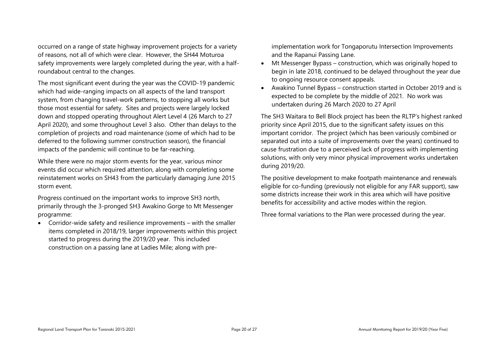occurred on a range of state highway improvement projects for a variety of reasons, not all of which were clear. However, the SH44 Moturoa safety improvements were largely completed during the year, with a halfroundabout central to the changes.

The most significant event during the year was the COVID-19 pandemic which had wide-ranging impacts on all aspects of the land transport system, from changing travel-work patterns, to stopping all works but those most essential for safety. Sites and projects were largely locked down and stopped operating throughout Alert Level 4 (26 March to 27 April 2020), and some throughout Level 3 also. Other than delays to the completion of projects and road maintenance (some of which had to be deferred to the following summer construction season), the financial impacts of the pandemic will continue to be far-reaching.

While there were no major storm events for the year, various minor events did occur which required attention, along with completing some reinstatement works on SH43 from the particularly damaging June 2015 storm event.

Progress continued on the important works to improve SH3 north, primarily through the 3-pronged SH3 Awakino Gorge to Mt Messenger programme:

 Corridor-wide safety and resilience improvements – with the smaller items completed in 2018/19, larger improvements within this project started to progress during the 2019/20 year. This included construction on a passing lane at Ladies Mile; along with preimplementation work for Tongaporutu Intersection Improvements and the Rapanui Passing Lane.

- Mt Messenger Bypass construction, which was originally hoped to begin in late 2018, continued to be delayed throughout the year due to ongoing resource consent appeals.
- Awakino Tunnel Bypass construction started in October 2019 and is expected to be complete by the middle of 2021. No work was undertaken during 26 March 2020 to 27 April

The SH3 Waitara to Bell Block project has been the RLTP's highest ranked priority since April 2015, due to the significant safety issues on this important corridor. The project (which has been variously combined or separated out into a suite of improvements over the years) continued to cause frustration due to a perceived lack of progress with implementing solutions, with only very minor physical improvement works undertaken during 2019/20.

The positive development to make footpath maintenance and renewals eligible for co-funding (previously not eligible for any FAR support), saw some districts increase their work in this area which will have positive benefits for accessibility and active modes within the region.

Three formal variations to the Plan were processed during the year.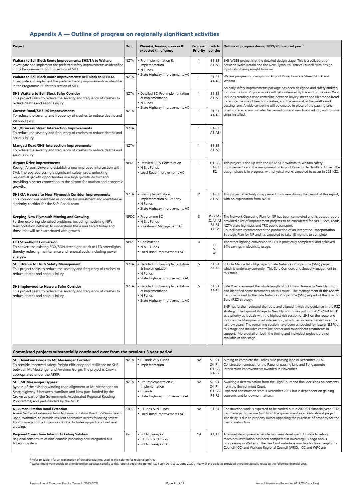# <span id="page-20-0"></span>**Appendix A — Outline of progress on regionally significant activities**

| <b>Project</b>                                                                                                                                                                                                                                                                                                                   | Org.        | Phase(s), funding sources &<br>expected timeframes                                                               | Regional<br><b>Priority</b> | Link to<br>policies <sup>2</sup>       | Outline of progress during 2019/20 financial year. <sup>3</sup>                                                                                                                                                                                                                                                                                                                                                                                                                                                                                                                                   |  |  |  |
|----------------------------------------------------------------------------------------------------------------------------------------------------------------------------------------------------------------------------------------------------------------------------------------------------------------------------------|-------------|------------------------------------------------------------------------------------------------------------------|-----------------------------|----------------------------------------|---------------------------------------------------------------------------------------------------------------------------------------------------------------------------------------------------------------------------------------------------------------------------------------------------------------------------------------------------------------------------------------------------------------------------------------------------------------------------------------------------------------------------------------------------------------------------------------------------|--|--|--|
| Waitara to Bell Block Route Improvements: SH3/3A to Waitara<br>Investigate and implement the preferred safety improvements as identified<br>in the Programme BC for this section of SH3                                                                                                                                          | NZTA        | Pre-implementation &<br>Implementation<br>• N Funds                                                              | -1                          | $S1-S3$<br>$A1-A3$                     | SH3 W2BB project is at the detailed design stage. This is a collaboration<br>between Waka Kotahi and the New Plymouth District Council, with design<br>inputs also being sought from iwi.                                                                                                                                                                                                                                                                                                                                                                                                         |  |  |  |
| Waitara to Bell Block Route Improvements: Bell Block to SH3/3A<br>Investigate and implement the preferred safety improvements as identified<br>in the Programme BC for this section of SH3                                                                                                                                       | <b>NZTA</b> | • State Highway Improvements AC                                                                                  | $\mathbf{1}$                | $S1-S3$<br>$A1-A3$                     | We are progressing designs for Airport Drive, Princess Street, SH3A and<br>Waitara.<br>An early safety improvements package has been designed and safety audited                                                                                                                                                                                                                                                                                                                                                                                                                                  |  |  |  |
| <b>SH3 Waitara to Bell Block Safer Corridor</b><br>This project seeks to reduce the severity and frequency of crashes to<br>reduce deaths and serious injury.                                                                                                                                                                    | NZTA        | • Detailed BC, Pre-implementation<br>& Implementation<br>• N Funds                                               | $\mathbf{1}$                | $S1-S3$<br>$A1 - A3$                   | for construction. Physical works will get underway by the end of the year. Work<br>includes creating a wide centreline between Bayley street and Richmond Road<br>to reduce the risk of head on crashes, and the removal of the westbound<br>passing lane. A wide centreline will be created in place of the passing lane.                                                                                                                                                                                                                                                                        |  |  |  |
| <b>Corbett Road/SH3 I/S Improvements</b><br>To reduce the severity and frequency of crashes to reduce deaths and<br>serious injury.                                                                                                                                                                                              | <b>NZTA</b> | <b>State Highway Improvements AC</b>                                                                             | $\mathbf{1}$                | $S1-S3$<br>$A1-A3$                     | Road surface repairs will also be carried out and new line marking, and rumble<br>strips installed.                                                                                                                                                                                                                                                                                                                                                                                                                                                                                               |  |  |  |
| <b>SH3/Princess Street Intersection Improvements</b><br>To reduce the severity and frequency of crashes to reduce deaths and<br>serious injury.                                                                                                                                                                                  | <b>NZTA</b> |                                                                                                                  | $\mathbf{1}$                | $S1-S3$<br>$A1-A3$                     |                                                                                                                                                                                                                                                                                                                                                                                                                                                                                                                                                                                                   |  |  |  |
| <b>Mangati Road/SH3 Intersection Improvements</b><br>To reduce the severity and frequency of crashes to reduce deaths and<br>serious injury.                                                                                                                                                                                     | <b>NZTA</b> |                                                                                                                  | $\mathbf{1}$                | $S1-S3$<br>$A1 - A3$                   |                                                                                                                                                                                                                                                                                                                                                                                                                                                                                                                                                                                                   |  |  |  |
| <b>Airport Drive Improvements</b><br>Realign Airport Drive and establish a new improved intersection with<br>SH3. Thereby addressing a significant safety issue, unlocking<br>residential growth opportunities in a high growth district and<br>providing a better connection to the airport for tourism and economic<br>growth. | NPDC        | Detailed BC & Construction<br>N & L Funds<br>Local Road Improvements AC                                          | $\mathbf{1}$                | $G1-G3$<br>$S1-S3$<br>R <sub>2</sub>   | This project is tied up with the NZTA SH3 Waitara to Waitara safety<br>Improvements and the realignment of Airport Drive to De Havilland Drive. The<br>design phase is in progress, with physical works expected to occur in 2021/22.                                                                                                                                                                                                                                                                                                                                                             |  |  |  |
| SH3/3A Hawera to New Plymouth Corridor Improvements<br>This corridor was identified as priority for investment and identified as<br>a priority corridor for the Safe Roads team.                                                                                                                                                 | NZTA        | · Pre-implementation,<br>Implementation & Property<br>• N Funds<br>State Highway Improvements AC                 | $\overline{c}$              | $S1-S3$<br>$A1-A3$                     | This project effectively disappeared from view during the period of this report,<br>with no explanation from NZTA.                                                                                                                                                                                                                                                                                                                                                                                                                                                                                |  |  |  |
| <b>Keeping New Plymouth Moving and Growing</b><br>Further exploring identified problems, including modelling NP's<br>transportation network to understand the issues faced today and<br>those that will be exacerbated with growth.                                                                                              | NPDC        | Programme BC<br>N & L Funds<br>Investment Management AC                                                          | 3                           | $11 - 12 S1 -$<br>R1-R2<br>$F1-F2$     | The Network Operating Plan for NP has been completed and its output report<br>S2 A1-A3 provided a list of improvement projects to be considered for NPDC local roads,<br>NZTA state highways and TRC public transport.<br>Council have recommenced the production of an Integrated Transportation<br>Strategic Plan for NP and it's expected to take 18 months to complete.                                                                                                                                                                                                                       |  |  |  |
| <b>LED Streetlight Conversion</b><br>To convert the existing SOX/SON streetlight stock to LED streetlights,<br>thereby reducing maintenance and renewal costs, including power<br>charges.                                                                                                                                       |             | $NPDC$ $\bullet$ Construction<br>N & L Funds<br>• Local Road Improvements AC                                     | 4                           | E <sub>1</sub><br>S <sub>3</sub><br>A1 | The street lighting conversion to LED is practically completed, and achieved<br>54% savings in electricity usage.                                                                                                                                                                                                                                                                                                                                                                                                                                                                                 |  |  |  |
| <b>SH3 Urenui to Uruti Safety Management</b><br>This project seeks to reduce the severity and frequency of crashes to<br>reduce deaths and serious injury.                                                                                                                                                                       | NZTA        | Detailed BC, Pre-implementation<br>& Implementation<br>$\blacksquare$ N Funds<br>• State Highway Improvements AC | 5                           | $S1-S3$<br>$A1-A3$                     | SH3 Te Mahoe Rd - Ngapapa St Safe Networks Programme (SNP) project<br>which is underway currently. This Safe Corridors and Speed Management in<br>this tools.                                                                                                                                                                                                                                                                                                                                                                                                                                     |  |  |  |
| <b>SH3 Inglewood to Hawera Safer Corridor</b><br>This project seeks to reduce the severity and frequency of crashes to<br>reduce deaths and serious injury.                                                                                                                                                                      | NZTA        | Detailed BC, Pre-implementation<br>& Implementation<br>$\blacksquare$ N Funds<br>• State Highway Improvements AC | 5                           | $S1-S3$<br>$A1-A3$                     | Safe Roads reviewed the whole length of SH3 from Hawera to New Plymouth<br>and identified some treatments on this route. The management of this review<br>has now moved to the Safe Networks Programme (SNP) as part of the Road to<br>Zero (R2Z) strategy.                                                                                                                                                                                                                                                                                                                                       |  |  |  |
|                                                                                                                                                                                                                                                                                                                                  |             |                                                                                                                  |                             |                                        | SNP has further reviewed the route and aligned it with the guidance in the R2Z<br>strategy. The Egmont Village to New Plymouth was put into 2021-2024 NLTP<br>as a priority as it deals with the highest risk section of SH3 on the route and<br>includes the Mangorei Road intersection, which has increased in risk over the<br>last few years. The remaining section have been scheduled for future NLTPs at<br>this stage and includes centreline barrier and roundabout treatments in<br>support. More detail on both the timing and individual projects are not<br>available at this stage. |  |  |  |
| Committed projects substantially continued over from the previous 3 year period                                                                                                                                                                                                                                                  |             |                                                                                                                  |                             |                                        |                                                                                                                                                                                                                                                                                                                                                                                                                                                                                                                                                                                                   |  |  |  |

| <b>SH3 Awakino Gorge to Mt Messenger Corridor</b>                    | <b>NZTA</b> | $\vdash$ C Funds & N Funds | ΝA | S1, S3, | Aiming to complete the Ladies Mile passing lane in December 2020.  |
|----------------------------------------------------------------------|-------------|----------------------------|----|---------|--------------------------------------------------------------------|
| To provide improved safety, freight efficiency and resilience on SH3 |             | Implementation             |    | S4, F1, | Construction contract for the Rapanui passing lane and Tongaporutu |
| between Mt Messenger and Awakino Gorge. The project is Crown         |             |                            |    | $G1-G3$ | Intersection improvements awarded in November.                     |
| appropriated under the ARRP.                                         |             |                            |    | R1-R2   |                                                                    |

| <b>SH3 Mt Messenger Bypass</b><br>Bypass of the existing winding road alignment at Mt Messenger on<br>State Highway 3 between Hamilton and New part-funded by the<br>Crown as part of the Governments Accelerated Regional Roading<br>Programme, and part-funded by the NLTP.     | <b>NZTA</b> | Pre-Implementation &<br>Implementation<br>$\blacksquare$ C Funds<br>• State Highway Improvements AC | <b>NA</b> | S1, S3,<br>S4, F1<br>$G1-G3$<br>R <sub>1</sub> -R <sub>2</sub> | Awaiting a determination from the High Court and final decisions on consents<br>from the Environment Court.<br>Expected construction start is December 2021 but is dependent on gaining<br>consents and landowner matters.                                                                          |
|-----------------------------------------------------------------------------------------------------------------------------------------------------------------------------------------------------------------------------------------------------------------------------------|-------------|-----------------------------------------------------------------------------------------------------|-----------|----------------------------------------------------------------|-----------------------------------------------------------------------------------------------------------------------------------------------------------------------------------------------------------------------------------------------------------------------------------------------------|
| <b>Nukumaru Station Road Extension</b><br>A new 6km road extension from Nukumaru Station Road to Waiinu Beach<br>Road, Waitotara, to provide resilient alternative access following severe<br>flood damage to the Limeworks Bridge. Includes upgrading of rail level<br>crossing. | <b>STDC</b> | L Funds & N Funds<br>• Local Road Improvements AC                                                   | <b>NA</b> | $S1-S4$                                                        | Construction work is expected to be carried out in 2020/21 financial year. STDC<br>has managed to secure \$7m from the government as a ready shovel project.<br>The delay is due to property owner appealing the purchase of property for the<br>road construction.                                 |
| <b>Regional Consortium Interim Ticketing Solution</b><br>Regional consortium of nine councils procuring new integrated bus<br>ticketing system.                                                                                                                                   | <b>TRC</b>  | ■ Public Transport<br>■ L Funds & N Funds<br>• Public Transport AC                                  | <b>NA</b> | A1, E1                                                         | A revised deployment schedule has been developed. On-bus ticketing<br>machines installation has been completed in Invercargill, Otago and is<br>progressing in Waikato. The Bee Card website is now live for Invercargill City<br>Council (ICC) and Waikato Regional Council (WRC). ICC and WRC are |

 $2$  Refer to Table 1 for an explanation of the abbreviations used in this column for regional policies

<sup>3</sup> Waka Kotahi were unable to provide project updates specific to this report's reporting period (i.e. 1 July 2019 to 30 June 2020). Many of the updates provided therefore actually relate to the following financial year.

 $\overline{a}$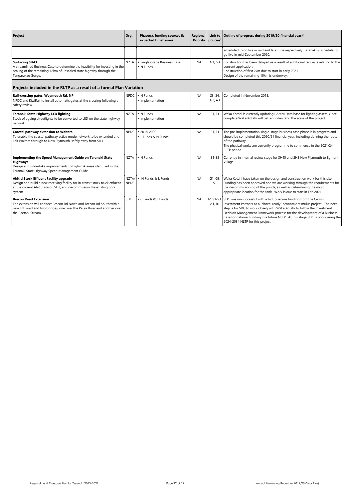| <b>Project</b>                                                                                                                                                                                                       | Org.                 | Phase(s), funding sources &<br>expected timeframes | Regional<br><b>Priority</b> | <b>Link to</b><br>policies <sup>2</sup>    | Outline of progress during 2019/20 financial year. <sup>3</sup>                                                                                                                                                                                                                                                                                                                                                                             |
|----------------------------------------------------------------------------------------------------------------------------------------------------------------------------------------------------------------------|----------------------|----------------------------------------------------|-----------------------------|--------------------------------------------|---------------------------------------------------------------------------------------------------------------------------------------------------------------------------------------------------------------------------------------------------------------------------------------------------------------------------------------------------------------------------------------------------------------------------------------------|
|                                                                                                                                                                                                                      |                      |                                                    |                             |                                            | scheduled to go live in mid and late June respectively. Taranaki is schedule to<br>go live in mid-September 2020.                                                                                                                                                                                                                                                                                                                           |
| <b>Surfacing SH43</b><br>A streamlined Business Case to determine the feasibility for investing in the<br>sealing of the remaining 12km of unsealed state highway through the<br>Tangarakau Gorge.                   | <b>NZTA</b>          | · Single-Stage Business Case<br>• N Funds          | NA                          | G1, G3                                     | Construction has been delayed as a result of additional requests relating to the<br>consent application.<br>Construction of first 2km due to start in early 2021.<br>Design of the remaining 10km is underway.                                                                                                                                                                                                                              |
| Projects included in the RLTP as a result of a formal Plan Variation                                                                                                                                                 |                      |                                                    |                             |                                            |                                                                                                                                                                                                                                                                                                                                                                                                                                             |
| Rail-crossing gates, Weymouth Rd, NP<br>NPDC and KiwiRail to install automatic gates at the crossing following a<br>safety review.                                                                                   |                      | $NPDC$ $\bullet$ N Funds<br>Implementation         | <b>NA</b>                   | S3, S4,<br>G <sub>2</sub> , A <sub>3</sub> | Completed in November 2018.                                                                                                                                                                                                                                                                                                                                                                                                                 |
| Taranaki State Highway LED lighting<br>Stock of ageing streetlights to be converted to LED on the state highway<br>network.                                                                                          | <b>NZTA</b>          | • N Funds<br>· Implementation                      | <b>NA</b>                   | E1, F1                                     | Waka Kotahi is currently updating RAMM Data base for lighting assets. Once<br>complete Waka Kotahi will better understand the scale of the project.                                                                                                                                                                                                                                                                                         |
| <b>Coastal pathway extension to Waitara</b><br>To enable the coastal pathway active mode network to be extended and<br>link Waitara through to New Plymouth, safely away from SH3.                                   |                      | NPDC   = 2018-2020<br>L Funds & N Funds            | NA                          | E1, F1                                     | The pre-implementation single-stage business case phase is in progress and<br>should be completed this 2020/21 financial year, including defining the route<br>of the pathway.<br>The physical works are currently programme to commence in the 2021/24<br>RLTP period.                                                                                                                                                                     |
| <b>Implementing the Speed Management Guide on Taranaki State</b><br><b>Highways</b><br>Design and undertake improvements to high-risk areas identified in the<br>Taranaki State Highway Speed Management Guide.      | <b>NZTA</b>          | • N Funds                                          | <b>NA</b>                   | $S1-S3$                                    | Currently in internal review stage for SH45 and SH3 New Plymouth to Egmont<br>Village.                                                                                                                                                                                                                                                                                                                                                      |
| <b>Ahititi Stock Effluent Facility upgrade</b><br>Design and build a new receiving facility for in-transit stock truck effluent<br>at the current Ahititi site on SH3, and decommission the existing pond<br>system. | NZTA/<br><b>NPDC</b> | N Funds & L Funds                                  | <b>NA</b>                   | G1. G3,<br>S1                              | Waka Kotahi have taken on the design and construction work for this site.<br>Funding has been approved and we are working through the requirements for<br>the decommissioning of the ponds, as well as determining the most<br>appropriate location for the tank. Work is due to start in Feb 2021.                                                                                                                                         |
| <b>Brecon Road Extension</b><br>The extension will connect Brecon Rd North and Brecon Rd South with a<br>new link road and two bridges, one over the Patea River and another over<br>the Paetahi Stream.             | <b>SDC</b>           | C Funds & L Funds                                  | <b>NA</b>                   | A1, R1                                     | I2, S1-S3, SDC was un-successful with a bid to secure funding from the Crown<br>Investment Partners as a "shovel ready" economic stimulus project. The next<br>step is for SDC to work closely with Waka Kotahi to follow the Investment<br>Decision Management Framework process for the development of a Business<br>Case for national funding in a future NLTP. At this stage SDC is considering the<br>2024-2034 NLTP for this project. |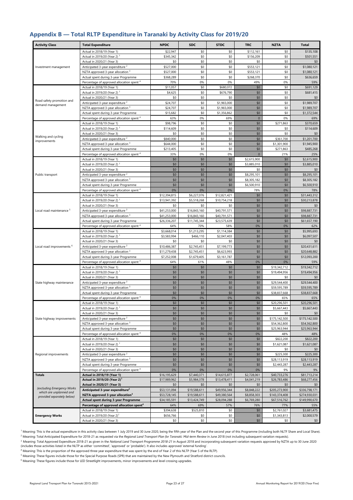# <span id="page-22-0"></span>**Appendix B — Total RLTP Expenditure in Taranaki by Activity Class for 2019/20**

<sup>1</sup> Meaning: This is the actual expenditure in this activity class between 1 July 2019 and 30 June 2020, being the fifth year of the Plan and the second year of this Programme (including both NLTF Share and Local Share).

<sup>2</sup> Meaning: Total Anticipated Expenditure for 2018-21 as requested via the *Regional Land Transport Plan for Taranaki: Mid-term Review* in June 2018 (not including subsequent variation requests).

| <b>Activity Class</b>                                 | <b>Total Expenditure</b>                                                                     | <b>NPDC</b>                  | <b>SDC</b>                 | <b>STDC</b>         | <b>TRC</b>                 | <b>NZTA</b>                  | <b>Total</b>                 |
|-------------------------------------------------------|----------------------------------------------------------------------------------------------|------------------------------|----------------------------|---------------------|----------------------------|------------------------------|------------------------------|
|                                                       | Actual in 2018/19 (Year 1)                                                                   | \$22,947                     | \$0                        | \$0                 | \$112,161                  | \$0                          | \$135,108                    |
|                                                       | Actual in 2019/20 (Year 2) <sup>1</sup>                                                      | \$345,342                    | \$0                        | \$0                 | \$156,209                  | \$0                          | \$501,551                    |
|                                                       | Actual in 2020/21 (Year 3)                                                                   | \$0                          | \$0                        | \$0                 | \$0                        | \$0                          | \$0                          |
| Investment management                                 | Anticipated 3-year expenditure <sup>2</sup>                                                  | \$527,000                    | \$0                        | \$0                 | \$553,121                  | \$0                          | \$1,080,121                  |
|                                                       | NZTA approved 3-year allocation <sup>3</sup><br>Actual spent during 3-year Programme         | \$527,000<br>\$368,289       | \$0<br>\$0                 | \$0<br>\$0          | \$553,121<br>\$268,370     | \$0<br>\$0                   | \$1,080,121<br>\$636,659     |
|                                                       | Percentage of approved allocation spent <sup>4</sup>                                         | 70%                          | 0%                         | 0%                  | 49%                        | 0%                           | 59%                          |
|                                                       | Actual in 2018/19 (Year 1)                                                                   | \$11,057                     | \$0                        | \$680,072           | \$0                        | \$0                          | \$691,129                    |
|                                                       | Actual in 2019/20 (Year 2) <sup>1</sup>                                                      | \$4,625                      | \$0                        | \$676,790           | \$0                        | \$0                          | \$681,415                    |
|                                                       | Actual in 2020/21 (Year 3)                                                                   | \$0                          | \$0                        | \$0                 | \$0                        | \$0                          | \$0                          |
| Road safety promotion and<br>demand management        | Anticipated 3-year expenditure <sup>2</sup>                                                  | \$24,707                     | \$0                        | \$1,965,000         | \$0                        | \$0                          | \$1,989,707                  |
|                                                       | NZTA approved 3-year allocation <sup>3</sup>                                                 | \$24,707                     | \$0                        | \$1,965,000         | $$0$$                      | \$0                          | \$1,989,707                  |
|                                                       | Actual spent during 3-year Programme                                                         | \$15,682                     | \$0                        | \$1,356,862         | $$0$$<br>$\mathbf{0}$      | \$0<br>0%                    | \$1,372,544                  |
|                                                       | Percentage of approved allocation spent <sup>4</sup><br>Actual in 2018/19 (Year 1)           | 63%<br>\$98,796              | 0%<br>\$0                  | 69%<br>\$0          | \$0                        | \$271,863                    | 69%<br>\$370,659             |
|                                                       | Actual in 2019/20 (Year 2) <sup>1</sup>                                                      | \$114,609                    | \$0                        | \$0                 | \$0                        | \$0                          | \$114,609                    |
|                                                       | Actual in 2020/21 (Year 3)                                                                   | \$0                          | \$0                        | \$0                 | \$0                        | \$0                          | \$0                          |
| Walking and cycling<br>improvements                   | Anticipated 3-year expenditure <sup>2</sup>                                                  | \$840,000                    | \$0                        | \$0                 | \$0                        | \$361,700                    | \$1,201,700                  |
|                                                       | NZTA approved 3-year allocation 3                                                            | \$644,000                    | \$0                        | \$0                 | \$0                        | \$1,301,900                  | \$1,945,900                  |
|                                                       | Actual spent during 3-year Programme                                                         | \$213,405                    | \$0                        | \$0                 | \$0                        | \$271,863                    | \$485,268                    |
|                                                       | Percentage of approved allocation spent <sup>4</sup>                                         | 33%                          | 0%                         | 0%                  | $\Omega$                   | 21%                          | 25%                          |
|                                                       | Actual in 2018/19 (Year 1)<br>Actual in 2019/20 (Year 2) <sup>1</sup>                        | \$0<br>\$0                   | \$0<br>\$0                 | \$0<br>\$0          | \$2,615,900<br>\$3,885,010 | \$0<br>\$0                   | \$2,615,900<br>\$3,885,010   |
|                                                       | Actual in 2020/21 (Year 3)                                                                   | \$0                          | \$0                        | \$0                 | \$0                        | \$0                          | \$0                          |
| Public transport                                      | Anticipated 3-year expenditure <sup>2</sup>                                                  | \$0                          | \$0                        | \$0                 | \$8,295,101                | \$0                          | \$8,295,101                  |
|                                                       | NZTA approved 3-year allocation 3                                                            | \$0                          | \$0                        | \$0                 | \$8,305,182                | \$0                          | \$8,305,182                  |
|                                                       | Actual spent during 3-year Programme                                                         | \$0                          | \$0                        | \$0                 | \$6,500,910                | \$0                          | \$6,500,910                  |
|                                                       | Percentage of approved allocation spent <sup>4</sup>                                         | 0%                           | 0%                         | 0%                  | 78%                        | 0%                           | 78%                          |
|                                                       | Actual in 2018/19 (Year 1)                                                                   | \$12,394,815                 | \$6,227,076                | \$12,821,421        | \$0                        | \$0                          | \$31,443,312                 |
|                                                       | Actual in 2019/20 (Year 2) <sup>1</sup><br>Actual in 2020/21 (Year 3)                        | \$13,941,392<br>\$0          | \$5,518,268<br>\$0         | \$10,754,218<br>\$0 | \$0<br>\$0                 | \$0<br>\$0                   | \$30,213,878<br>\$0          |
| Local road maintenance <sup>5</sup>                   | Anticipated 3-year expenditure <sup>2</sup>                                                  | \$41,253,000                 | \$16,843,160               | \$40,791,571        | \$0                        | \$0                          | \$98,887,731                 |
|                                                       | NZTA approved 3-year allocation <sup>3</sup>                                                 | \$41,253,000                 | \$16,843,160               | \$40,791,571        | \$0                        | \$0                          | \$98,887,731                 |
|                                                       | Actual spent during 3-year Programme                                                         | \$26,336,207                 | \$11,745,344               | \$23,575,639        | \$0                        | \$0                          | \$61,657,190                 |
|                                                       | Percentage of approved allocation spent <sup>4</sup>                                         | 64%                          | 70%                        | 58%                 | 0%                         | 0%                           | 62%                          |
|                                                       | Actual in 2018/19 (Year 1)                                                                   | \$3,668,014                  | \$1,213,295                | \$1,114,384         | \$0                        | \$0                          | \$5,995,693                  |
|                                                       | Actual in 2019/20 (Year 2) <sup>1</sup>                                                      | \$3,583,994                  | \$466,110                  | \$2,047,403         | \$0                        | \$0                          | \$6,097,507                  |
|                                                       | Actual in 2020/21 (Year 3)                                                                   | \$0                          | \$0                        | \$0<br>\$7,199,773  | \$0                        | \$0                          | \$0                          |
| Local road improvements <sup>6</sup>                  | Anticipated 3-year expenditure <sup>2</sup><br>NZTA approved 3-year allocation 3             | \$10,486,387<br>\$11,279,438 | \$2,745,451<br>\$2,745,451 | \$6,623,993         | \$0<br>\$0                 | \$0<br>\$0                   | \$20,431,611<br>\$20,648,882 |
|                                                       | Actual spent during 3-year Programme                                                         | \$7,252,008                  | \$1,679,405                | \$3,161,787         | \$0                        | \$0                          | \$12,093,200                 |
|                                                       | Percentage of approved allocation spent <sup>4</sup>                                         | 64%                          | 61%                        | 48%                 | $0\%$                      | 0%                           | 59%                          |
|                                                       | Actual in 2018/19 (Year 1)                                                                   | \$0                          | \$0                        | \$0                 | \$0                        | $\overline{$}19,342,712$     | \$19,342,712                 |
|                                                       | Actual in 2019/20 (Year 2) <sup>1</sup>                                                      | \$0                          | \$0                        | \$0                 | \$0                        | \$19,494,956                 | \$19,494,956                 |
|                                                       | Actual in 2020/21 (Year 3)                                                                   | \$0                          | \$0                        | \$0                 | \$0                        | \$0                          | \$0                          |
| State highway maintenance                             | Anticipated 3-year expenditure <sup>2</sup>                                                  | \$0<br>\$0                   | \$0                        | \$0<br>\$0          | \$0<br>\$0                 | \$29,544,400                 | \$29,544,400                 |
|                                                       | NZTA approved 3-year allocation <sup>3</sup><br>Actual spent during 3-year Programme         | \$0                          | \$0<br>\$0                 | \$0                 | \$0                        | \$59,595,789<br>\$38,837,668 | \$59,595,789<br>\$38,837,668 |
|                                                       | Percentage of approved allocation spent <sup>4</sup>                                         | 0%                           | 0%                         | 0%                  | 0%                         | 65%                          | 65%                          |
|                                                       | Actual in 2018/19 (Year 1)                                                                   | \$0                          | \$0                        | \$0                 | \$0                        | \$20,296,501                 | \$20,296,501                 |
|                                                       | Actual in 2019/20 (Year 2) <sup>1</sup>                                                      | \$0                          | \$0                        | \$0                 | \$0                        | \$5,667,443                  | \$5,667,443                  |
|                                                       | Actual in 2020/21 (Year 3)                                                                   | \$0                          | \$0                        | \$0                 | \$0                        | \$0                          | \$0                          |
| State highway improvements                            | Anticipated 3-year expenditure <sup>2</sup>                                                  | \$0                          | \$0                        | \$0                 | \$0                        | \$175,142,500                | \$175,142,500                |
|                                                       | NZTA approved 3-year allocation <sup>3</sup><br>Actual spent during 3-year Programme         | \$0<br>\$0                   | \$0<br>\$0                 | \$0<br>\$0          | \$0<br>\$0                 | \$54,362,800<br>\$25,963,944 | \$54,362,800<br>\$25,963,944 |
|                                                       | Percentage of approved allocation spent <sup>4</sup>                                         | 0%                           | 0%                         | 0%                  | 0%                         | 48%                          | 48%                          |
|                                                       | Actual in 2018/19 (Year 1)                                                                   | \$0                          | \$0                        | \$0                 | \$0                        | \$822,200                    | \$822,200                    |
|                                                       | Actual in 2019/20 (Year 2) <sup>1</sup>                                                      | \$0                          | \$0                        | \$0                 | \$0                        | \$1,621,087                  | \$1,621,087                  |
|                                                       | Actual in 2020/21 (Year 3)                                                                   | \$0                          | \$0                        | \$0                 | \$0                        | \$0                          | \$0                          |
| Regional improvements                                 | Anticipated 3-year expenditure <sup>2</sup>                                                  | \$0                          | \$0                        | \$0                 | \$0                        | \$225,300                    | \$225,300                    |
|                                                       | NZTA approved 3-year allocation <sup>3</sup>                                                 | \$0                          | \$0                        | \$0                 | \$0                        | \$28,113,919                 | \$28,113,919                 |
|                                                       | Actual spent during 3-year Programme<br>Percentage of approved allocation spent <sup>4</sup> | \$0<br>0%                    | \$0<br>0%                  | \$0<br>0%           | \$0<br>0%                  | \$2,443,287<br>9%            | \$2,443,287                  |
| <b>Totals</b>                                         | Actual in 2018/19 (Year 1)                                                                   | \$16,195,629                 | \$7,440,371                | \$14,615,877        | \$2,728,061                | \$40,733,276                 | 9%<br>\$81,713,214           |
|                                                       | Actual in 2019/20 (Year 2) <sup>1</sup>                                                      | \$17,989,962                 | \$5,984,378                | \$13,478,411        | \$4,041,219                | \$26,783,486                 | \$68,277,456                 |
|                                                       | <b>Actual in 2020/21 (Year 3)</b>                                                            | \$0                          | \$0                        | \$0                 | \$0                        | \$0                          | \$0                          |
| (excluding Emergency Works<br>which are unplanned and | Anticipated 3-year expenditure <sup>2</sup>                                                  | \$53,131,094                 | \$19,588,611               | \$49,956,344        | \$8,848,222                | \$205,273,900                | \$336,798,171                |
| provided separately below)                            | NZTA approved 3-year allocation <sup>3</sup>                                                 | \$53,728,145                 | \$19,588,611               | \$49,380,564        | \$8,858,303                | \$143,374,408                | \$274,930,031                |
|                                                       | <b>Actual spent during 3-year Programme</b>                                                  | \$34,185,591                 | \$13,424,749               | \$28,094,288        | \$6,769,280                | \$67,516,762                 | \$149,990,670                |
|                                                       | Percentage of approved allocation spent <sup>4</sup><br>Actual in 2018/19 (Year 1)           | 64%<br>\$394,638             | 69%<br>\$525,810           | 57%<br>\$0          | 76%<br>\$0                 | 77%<br>\$2,761,027           | 55%<br>\$3,681,475           |
| <b>Emergency Works</b>                                | Actual in 2019/20 (Year 2) <sup>1</sup>                                                      | \$656,766                    | \$0                        | \$0                 | \$0                        | \$1,343,813                  | \$2,000,579                  |
|                                                       | Actual in 2020/21 (Year 3)                                                                   | \$0                          | \$0                        | \$0                 | \$0                        | \$0                          | \$0                          |

<sup>3</sup> Meaning: Total Approved Expenditure 2018-21 as given in the *National Land Transport Programme 2018-21* in August 2018 and incorporating subsequent variation requests approved by NZTA up to 30 June 2020 (includes those activities listed in the NLTP as either 'committed', 'approved' or 'probable'). It also includes approved 'external funding'.

<sup>4</sup> Meaning: This is the proportion of the approved three year expenditure that was spent by the end of Year 2 of this NLTP (Year 5 of the RLTP).

<sup>5</sup> Meaning: These figures include those for the Special Purpose Roads (SPR) that are maintained by the New Plymouth and Stratford district councils.

 $6$  Meaning: These figures include those for LED Streetlight improvements, minor improvements and level crossing upgrades.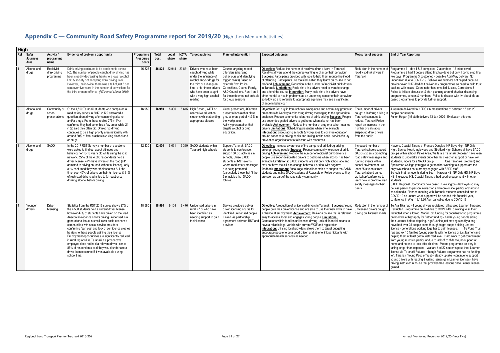# <span id="page-23-0"></span>**Appendix C — Community Road Safety Programme report for 2019/20** (High then Medium Activities)

| <b>High</b> |                           |                                          |                                                                                                                                                                                                                                                                                                                                                                                                                                                                                                                                                                                                                                                                                                              |                                  |               |                |                      |                                                                                                                                                                                                                    |                                                                                                                                                                                                                                                                                        |                                                                                                                                                                                                                                                                                                                                                                                                                                                                                                                                                                                                                                                                                                                                             |                                                                                                                                                                                                                                                                                                           |                                                                                                                                                                                                                                                                                                                                                                                                                                                                                                                                                                                                                                                                                                                                                                                                                                                                                                                                                                                                                                                                                                                                                                                                                                                           |
|-------------|---------------------------|------------------------------------------|--------------------------------------------------------------------------------------------------------------------------------------------------------------------------------------------------------------------------------------------------------------------------------------------------------------------------------------------------------------------------------------------------------------------------------------------------------------------------------------------------------------------------------------------------------------------------------------------------------------------------------------------------------------------------------------------------------------|----------------------------------|---------------|----------------|----------------------|--------------------------------------------------------------------------------------------------------------------------------------------------------------------------------------------------------------------|----------------------------------------------------------------------------------------------------------------------------------------------------------------------------------------------------------------------------------------------------------------------------------------|---------------------------------------------------------------------------------------------------------------------------------------------------------------------------------------------------------------------------------------------------------------------------------------------------------------------------------------------------------------------------------------------------------------------------------------------------------------------------------------------------------------------------------------------------------------------------------------------------------------------------------------------------------------------------------------------------------------------------------------------|-----------------------------------------------------------------------------------------------------------------------------------------------------------------------------------------------------------------------------------------------------------------------------------------------------------|-----------------------------------------------------------------------------------------------------------------------------------------------------------------------------------------------------------------------------------------------------------------------------------------------------------------------------------------------------------------------------------------------------------------------------------------------------------------------------------------------------------------------------------------------------------------------------------------------------------------------------------------------------------------------------------------------------------------------------------------------------------------------------------------------------------------------------------------------------------------------------------------------------------------------------------------------------------------------------------------------------------------------------------------------------------------------------------------------------------------------------------------------------------------------------------------------------------------------------------------------------------|
| Ref         | Safer<br>Journeys<br>Area | <b>Activity</b><br>programme<br>name     | Evidence of problem / opportunity                                                                                                                                                                                                                                                                                                                                                                                                                                                                                                                                                                                                                                                                            | Programme<br>/ resource<br>costs | Total<br>cost | Local<br>share | <b>NZTA</b><br>share | Target audience                                                                                                                                                                                                    | <b>Planned intervention</b>                                                                                                                                                                                                                                                            | <b>Expected outcomes</b>                                                                                                                                                                                                                                                                                                                                                                                                                                                                                                                                                                                                                                                                                                                    | <b>Measures of success</b>                                                                                                                                                                                                                                                                                | <b>End of Year Reporting</b>                                                                                                                                                                                                                                                                                                                                                                                                                                                                                                                                                                                                                                                                                                                                                                                                                                                                                                                                                                                                                                                                                                                                                                                                                              |
|             | Alcohol and<br>drugs      | Recidivist<br>drink driving<br>programme | Drink driving continues to be problematic across<br>NZ. The number of people caught drink driving has<br>been steadily decreasing thanks to a lower alcohol<br>limit & society not accepting drink driving is ok.<br>However, nationwide, there was a fall of just 5 per<br>cent over five years in the number of convictions for<br>the third or more offence. (NZ Herald March 2016)                                                                                                                                                                                                                                                                                                                       | 46.825                           |               |                |                      | 46,825 22,944 23,881 Drivers who have been<br>caught driving while<br>under the influence of<br>alcohol and/or drugs for<br>the third or subsequent<br>who have been caught<br>with a very high alcohol<br>reading | Course targeting repeat<br>offenders (changing<br>behaviours and identifying<br>trigger points) Based on<br>referrals from Police,<br>time, or for those drivers   Corrections, Courts, Family,<br>A&D Councillors. Run 1 on 1<br>for those deemed not suitable<br>for group sessions. | Objective: Reduce the number of recidivist drink drivers in Taranaki.<br>Recidivist drivers attend the course wanting to change their behaviour<br>Success: Participants provided with tools to help them reduce likelihood<br>of offending. Participants use tools/education they learnt on course to not<br>reoffend Achievement: Reduction in the number of recidivist drink drivers<br>in Taranaki <b>Limitations:</b> Recidivist drink drivers need to want to change<br>and attend the course <b>Integration:</b> Many recidivist drink drivers have<br>other mental or health problems as an underlying cause to their behaviour<br>so follow up and referrals to appropriate agencies may see a significant<br>change in behaviour. | Reduction in the number<br>recidivist drink drivers in<br>Taranaki                                                                                                                                                                                                                                        | Programme 1 - day 1 & 2 completed, 7 attendees, 12 interviewed.<br>Programme 2 had 3 people attend first two days but only 1 completed final<br>two days. Programme 3 postponed - possible April/May delivery. Not<br>undertaken due to COVID-19. Believe low numbers not helped because<br>provider over 2017-19 didn't deliver any programmes so need to build trust<br>back up with locals. Coordinator has emailed Justice, Corrections &<br>Police to initiate discussion & start planning around physical distancing<br>programmes, venues & numbers. Police to discuss with Iwi about Marae<br>based programmes to provide further support.                                                                                                                                                                                                                                                                                                                                                                                                                                                                                                                                                                                                        |
|             | Alcohol and<br>drugs      | Community or<br>school<br>presentations  | Of the 4,500 Taranaki students who completed a<br>road safety survey in 2017, 2,122 answered a<br>question about driving after consuming alcohol<br>and/or drugs. From these replies 275 (13%)<br>confirmed they had done this a few times while 24<br>(1%) said they often did. Drink/drug driving<br>continues to be a high priority area nationally with<br>around 30% of fatal crashes involving alcohol and<br>or druas.                                                                                                                                                                                                                                                                                | 16.950                           | 16.950        | 8.306          |                      | 8,645 High School, WITT or<br>alternative education<br>students while attending<br>appropriate classes                                                                                                             | Guest presenters, 4Carmen<br>presentations (either class<br>groups or as part of H & S in<br>the workplace).<br>Activity/presentation that<br>targets alcohol or drug<br>education.                                                                                                    | Objective: Get buy in from schools, workplaces and community groups so<br>presenters deliver key alcohol/drug driving messaging to the appropriate<br>audience. Reduce community tolerance of drink driving <b>Success:</b> People<br>use sober designated drivers to get home when alcohol has been<br>available <b>Achievement:</b> Reduce the number of drug or alcohol impaired<br>drivers Limitations: Scheduling presenters when time available<br><b>Integration:</b> Encouraging schools & workplaces to continue education<br>around sober safe driving habits and linking in with social services/injury<br>prevention organisations to follow up with resources                                                                  | The number of drivers<br>caught drink/drug driving in<br>Taranaki continues to<br>reduce. Taranaki Police<br>report an increase in the<br>number of calls about<br>suspected drink drivers<br>from the public                                                                                             | 4 Carmen delivered to NPDC x 6 presentations of between 15 and 20<br>people per session.<br>Fulton Hogan (45 staff) delivery 13 Jan 2020 . Evaluation attached.                                                                                                                                                                                                                                                                                                                                                                                                                                                                                                                                                                                                                                                                                                                                                                                                                                                                                                                                                                                                                                                                                           |
|             | Alcohol and<br>drugs      | SADD                                     | In the 2017 RST Survey a number of questions<br>were asked to find out about attitudes and<br>behaviour of 13-18 years old while using the road<br>network. 27% of the 4,500 respondents hold a<br>driver license, 47% have driven on the road (911<br>admitted to driving on road without a license), only<br>81% confirmed they wear their seatbelt ALL the<br>time, over 45% of drivers on their full license & 31%<br>of restricted drivers admitted to (at least once)<br>drinking alcohol before driving.                                                                                                                                                                                              | 12,430                           | 12.430        | 6.091          |                      | 6,339 SADD students within<br>Taranaki high schools                                                                                                                                                                | Support Taranaki SADD<br>students to conference.<br>support SADD activities in<br>schools, utilise SADD<br>students at RST events<br>where road safety messages<br>are being promoted<br>(particularly those that fit the<br>6 principles that SADD<br>follows).                       | Objective: Increase awareness of the dangers of drink/drug driving<br>amongst young people <b>Success:</b> Reduce community tolerance of drink<br>driving Achievement: Reduce the number of recidivist drink drivers &<br>people use sober designated drivers to get home when alcohol has been<br>available Limitations: SADD students are still only high school age and<br>may not have the skills to change behaviour or deal with negative<br>feedback Integration: Encourage school leadership to support the SADD<br>students and utilise SADD students at Roadsafe or Police events so they<br>are seen as part of the road safety community.                                                                                       | Increased number of<br>Taranaki schools support<br>SADD students promoting<br>road safety messages and<br>unning events within<br>school environment. At<br>least 25 students from<br>Taranaki attend annual<br>workshop/conference to<br>learn how to promote road<br>safety messages to their<br>peers. | Hawera, Coastal Taranaki, Frances Douglas, NP Boys High, NP Girls<br>High, Sacred Heart, Inglewood and Stratford High Schools all have SADD<br>groups within school. Patea Area, Waitara & Taranaki Diocesan have keen<br>students to undertake events but either lack teacher support or have low<br>student numbers for a SADD group.<br>One Taranaki (Brethren) and<br>Spotswood College (struggle to get teacher wanting to support) are the<br>only two schools not currently engaged with SADD staff.<br>Schools that ran events during Sept - Hawera HS, NP Girls HS, NP Boys<br>HS, Inglewood HS, Coastal Taranaki had good engagement with other<br>students<br>SADD Regional Coordinator now based in Wellington (Jay Boyd) so may<br>be less person to person interaction and more online, particularly around<br>social media. Planned meeting with Taranaki students cancelled due to<br>COVID-19 so unsure what support will be needed this financial year,<br>conference in Wtgn 18,19,20 April cancelled due to COVID-19.                                                                                                                                                                                                                 |
|             | Younger<br>drivers        | Driver<br>licensing                      | Statistics from the RST 2017 survey shows 27% of<br>the 4.500 students hold a current driver license<br>however 47% of students have driven on the road.<br>Anecdotal evidence shows driving unlicensed is a<br>generational issue in small lower socio economic<br>communities with social service providers<br>confirming fear, cost and lack of confidence creates<br>barriers to these people gaining their license.<br>Employment opportunities are significantly reduced<br>in rural regions like Taranaki if a prospective<br>employee does not hold a relevant driver license.<br>85% of respondents said they would undertake a<br>driver license course if it was available during<br>school time. | 18,580                           | 18.580        | 9,104          |                      | 9.476 Unlicensed drivers in<br>rural NZ or who have<br>been identified as<br>needing support to gain<br>their license                                                                                              | Service providers deliver<br>driver licensing course for<br>identified unlicensed people.<br>Linked via partnership<br>agreement between RST and<br>provider                                                                                                                           | Objective: A reduction of unlicensed drivers in Taranaki Success: Young<br>people gain their driver license and are able to use their new skills to have<br>a chance at employment Achievement: Deliver a course that is relevant,<br>easy to access, local and engages young people <b>Limitations:</b><br>Generations within families unlicensed driving, lack of financial means to<br>have a reliable legal vehicle with current WOF and registration<br>Integration: Utilising local providers allows them to target budgeting,<br>encourage people to be a good citizen and able to link participants with<br>appropriate health services as needed.                                                                                  | Reduction in the number<br>unlicensed drivers caught<br>driving on Taranaki roads.                                                                                                                                                                                                                        | Te Ara Tika had 44 young drivers registered, all passed Learner, 8 passed<br>Restricted. Programme on hold due to COVID-19, 5 waiting to sit their<br>restricted when allowed. Marfell lost funding for coordinator so programme<br>on hold while they apply for further funding - had 6 young people sitting<br>their Learner before stopping. NgaRuahine just moving steadily along -<br>have had over 25 people come through to get support sitting Learner<br>icense - generations working together to gain licenses. Te Puna Trust<br>has approx 10 families (young parents with no license or just learner) and<br>helping them at least get to restricted level. Hard work to get commitment<br>from young mums in particular due to lack of confidence, no support at<br>home and no one to look after children. Means programme delivery is<br>taking longer than expected. Waitara had 22 students pass their Learner<br>license via Taranaki Futures - though Futures programme has no funding<br>left. Taranaki Young People Trust - steady uptake - continue to support<br>young drivers with reading & writing issues gain Learner licenses - have<br>driving instructor in house that provides free lessons once Leaner license<br>gained. |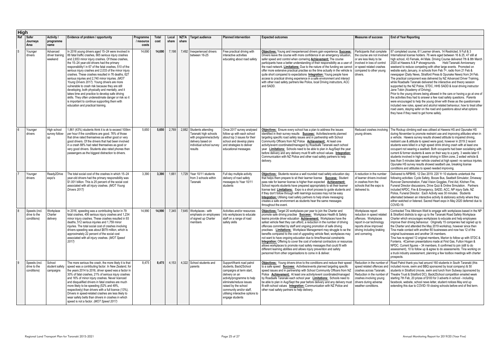| <b>High</b> |                                              |                                        |                                                                                                                                                                                                                                                                                                                                                                                                                                                                                                                                                                                                                                                                                                                                                                                                |                                  |               |                |       |                                                                                                                                          |                                                                                                                                                                                                                                                                    |                                                                                                                                                                                                                                                                                                                                                                                                                                                                                                                                                                                                                                                                                                                                                                                                                                                                                                  |                                                                                                                                                                                         |                                                                                                                                                                                                                                                                                                                                                                                                                                                                                                                                                                                                                                                                                                                                                                                                                                                                                                                                                                                                                                                                                                                                                                                                                          |
|-------------|----------------------------------------------|----------------------------------------|------------------------------------------------------------------------------------------------------------------------------------------------------------------------------------------------------------------------------------------------------------------------------------------------------------------------------------------------------------------------------------------------------------------------------------------------------------------------------------------------------------------------------------------------------------------------------------------------------------------------------------------------------------------------------------------------------------------------------------------------------------------------------------------------|----------------------------------|---------------|----------------|-------|------------------------------------------------------------------------------------------------------------------------------------------|--------------------------------------------------------------------------------------------------------------------------------------------------------------------------------------------------------------------------------------------------------------------|--------------------------------------------------------------------------------------------------------------------------------------------------------------------------------------------------------------------------------------------------------------------------------------------------------------------------------------------------------------------------------------------------------------------------------------------------------------------------------------------------------------------------------------------------------------------------------------------------------------------------------------------------------------------------------------------------------------------------------------------------------------------------------------------------------------------------------------------------------------------------------------------------|-----------------------------------------------------------------------------------------------------------------------------------------------------------------------------------------|--------------------------------------------------------------------------------------------------------------------------------------------------------------------------------------------------------------------------------------------------------------------------------------------------------------------------------------------------------------------------------------------------------------------------------------------------------------------------------------------------------------------------------------------------------------------------------------------------------------------------------------------------------------------------------------------------------------------------------------------------------------------------------------------------------------------------------------------------------------------------------------------------------------------------------------------------------------------------------------------------------------------------------------------------------------------------------------------------------------------------------------------------------------------------------------------------------------------------|
| Ref         | <b>Safer</b><br>Journeys<br>Area             | Activity /<br>programme<br>name        | Evidence of problem / opportunity                                                                                                                                                                                                                                                                                                                                                                                                                                                                                                                                                                                                                                                                                                                                                              | Programme<br>/ resource<br>costs | Total<br>cost | Local<br>share | share | NZTA   Target audience                                                                                                                   | <b>Planned intervention</b>                                                                                                                                                                                                                                        | <b>Expected outcomes</b>                                                                                                                                                                                                                                                                                                                                                                                                                                                                                                                                                                                                                                                                                                                                                                                                                                                                         | <b>Measures of success</b>                                                                                                                                                              | <b>End of Year Reporting</b>                                                                                                                                                                                                                                                                                                                                                                                                                                                                                                                                                                                                                                                                                                                                                                                                                                                                                                                                                                                                                                                                                                                                                                                             |
|             | Younger<br>drivers                           | Advanced<br>driver training<br>weekend | In 2016 young drivers aged 15-24 were involved in<br>86 fatal traffic crashes, 665 serious injury crashes<br>and 2,653 minor injury crashes. Of these crashes,<br>the 15-24 year-old drivers had the primary<br>responsibility1 in 67 of the fatal crashes, 510 of the<br>serious injury crashes and 2,033 of the minor injury<br>crashes. These crashes resulted in 76 deaths, 627<br>serious injuries and 2,740 minor injuries. (MOT<br>Young Drivers 2017). Young drivers are more<br>vulnerable to crash risk because they are still<br>developing, both physically and mentally, and it<br>takes time and practice to develop safe driving<br>skills. They often underestimate danger or risk so it<br>is important to continue supporting them with<br>education and practical training. | 14,690                           | 14,690        | 7.198          |       | 7,492 Inexperienced drivers<br>between 16-25                                                                                             | Free practical driving with<br>interactive activities<br>educating about road safety                                                                                                                                                                               | Objectives: Young and inexperienced drivers gain experience. Success:<br>Drivers leave the course with more confidence in an emergency situation,<br>safer speed and control when cornering Achievement: The course<br>participants have a better understanding of their responsibility as a user of<br>the road network. Limitations: Due to the nature of the funding we cannot<br>offer more extensive practical practise so the time actually in the vehicle is<br>quite short compared to expectations Integration: Young people have<br>access to practical driving experience in a safe environment and interact<br>with other road safety partners like Police, local Driving instructors, ACC<br>and SADD.                                                                                                                                                                              | Participants that complete<br>the course are not involved<br>or are less likely to be<br>involved in loss of control<br>or speed related crashes<br>compared to other young<br>drivers. | 87 completed course, 61 Learner drivers, 14 Restricted, 9 Full & 3<br>International license holders. 76 were aged between 16 & 25, 47 still at<br>high school, 43 Female, 44 Male. Driving Course delivered 7th & 8th March<br>2020 at Hawera A & P showgrounds. Held Taranaki Anniversary<br>weekend to reduce competing with other large events. Promoted on<br>website early January, in schools from Feb 7th, radio from 21 Feb &<br>newspaper (Daily News, Stratford Press & Opunake News) from 24 Feb.<br>The practical component was delivered by NZ Advanced Driver Training,<br>while Roadsafe Taranaki delivered the interactive and theory session<br>supported by the NZ Police, STDC, HHS SADD & local driving instructor<br>Jane Tobin (Academy of Driving).<br>Prior to the young drivers being allowed in the cars or having a go at one of<br>the activities they had to answer a few road safety questions. Parents<br>were encouraged to help the young driver with these as the questionnaire<br>included new rules, speed and alcohol related behaviour, how to treat other<br>road users, staying safer on the road and questions about what options<br>they have if they need to get home safely. |
|             | Younger<br>drivers                           | High school<br>survey follow-<br>up    | 1,861 (43%) students think it is ok to exceed 100km<br>per hour if the conditions are good. 76% of those<br>that drive rated themselves as either good or very<br>good drivers. Of the drivers that had been involved<br>in a crash 88% had rated themselves as good or<br>very good drivers. Students also rated phones then<br>passengers as the biggest distraction to drivers.                                                                                                                                                                                                                                                                                                                                                                                                             | 5,650                            | 5,650         | 2,769          |       | 2,882 Students attending<br>Taranaki high schools<br>with programme/activity<br>delivery based on<br>individual school survey<br>results | Once 2017 survey analysed<br>follow up with each school<br>about top 3 issues for their<br>school and develop plans<br>and strategies to deliver<br>educational messages                                                                                           | <b>Objectives:</b> Ensure every school has a plan to address the issues<br>identified in their survey results <b>Success:</b> Activities/events planned<br>targeting specific road safety issues and in partnership with School<br>Community Officers from NZ Police Achievement: At least one<br>activity/event coordinated/managed by Roadsafe Taranaki each school<br>year <b>Limitations:</b> Schools need to be able to plan in Aug/Sept the year<br>before delivery and any delivery must fit with school values Integration:<br>Communication with NZ Police and other road safety partners to help<br>delivery.                                                                                                                                                                                                                                                                          | Reduced crashes involving<br>young drivers.                                                                                                                                             | The Rockup climbing wall was utilised at Hawera HS and Opunake HS<br>during November to promote restraint use and improving attitudes when in<br>a vehicle. Hawera survey results showed attitude to impaired driving,<br>restraint use & attitude to speed were good, however in 2019 2 recent<br>students were killed in a high speed drink driving crash with at least one<br>occupant not wearing a seatbelt. Both occupants had been socialising with<br>current & former students & were on their way to a party. 3 weeks later 5<br>students involved in high speed driving in 50km zone, 2 exited vehicle &<br>less than 5 minutes later vehicle crashed at high speed- no serious injuries.<br>Opunake HS survey results showed seatbelt use, breaking license<br>conditions and attitudes to speed needed improving.                                                                                                                                                                                                                                                                                                                                                                                           |
|             | Younger<br>drivers                           | Ready2Drive<br>expo's                  | The total social cost of the crashes in which 15-24<br>year-old drivers had the primary responsibility was<br>\$1.001 billion. This is 25 percent of the social cost<br>associated with all injury crashes. (MOT Young<br>Drivers 2017)                                                                                                                                                                                                                                                                                                                                                                                                                                                                                                                                                        | 3.390                            | 3.390         | 1.661          |       | 1.729 Year 10/11 students<br>from 3 schools within<br>Taranaki                                                                           | Full day multiple activity<br>delivery of road safety<br>messages to Year 10/11<br>students                                                                                                                                                                        | Objectives: Students receive a well rounded road safety education day<br>that helps them prepare to sit their learner license Success: Student<br>pass rate for learner license is higher than expected <b>Achievement:</b><br>School reports students have prepared appropriately to sit their learner<br>license test Limitations: Expo is a short process to guide students and<br>if they don't follow through with learnings success may not be easy<br><b>Integration:</b> Utilising road safety partners to help share messaging<br>creates a safe environment as students hear the same messages<br>throughout the event.                                                                                                                                                                                                                                                                | <b>A</b> reduction in the number<br>of learner drivers involved<br>in crashes from the<br>schools that the expo is<br>delivered to.                                                     | Delivered to NPBHS, 12 Dec 2019. 220 Yr 10 students undertook the<br>following activities: Cycle Safety, Booze Bus, Seatbelt Simulator, Driveway<br>Runover Demonstration, Fatal Vision Goggles, First Aid, Kitchen Fire,<br>Funeral Director discussions. Drive Quiz & Online Simulation. Partners<br>included NPDC, Fire & Emergency, SADD, ACC, NP injury Safe, NZ<br>Police, Funeral Director. Each Activity was 30 minutes. Students<br>alternated between an interactive activity & stationary activity where they<br>either watched or listened. Sacred Heart expo in May 2020 deferred due to<br>COVID-19.                                                                                                                                                                                                                                                                                                                                                                                                                                                                                                                                                                                                       |
|             | Speeds (incl.<br>drive to the<br>conditions) | Workplace<br>Charter<br>delivery       | In 2016, speeding was a contributing factor in 79<br>fatal crashes, 406 serious injury crashes and 1,234<br>minor injury crashes. These crashes resulted in 93<br>deaths, 512 serious injuries and 1,759 minor<br>injuries. The total social cost of crashes involving<br>drivers speeding was about \$879 million, which is<br>approximately 22 percent of the social cost<br>associated with all injury crashes. (MOT Speed<br>$2017$ )                                                                                                                                                                                                                                                                                                                                                      | 14,990                           | 14,990        | 7,345          |       | 7,645 Workplaces - with<br>of signed up Charter<br>members                                                                               | Activities and/or resources<br>emphasis on employees   into workplaces to educate<br>staff on a range of road<br>safety skills                                                                                                                                     | Objectives: Target 20 workplaces per year to join the Charter and<br>promote safe driving practise Success: Workplace Health & Safety<br>teams provide driver education Achievement: Workplaces have the<br>safest vehicle fleet they can afford, a reduction in the number of driving<br>offences committed by staff and ongoing promotion of safe driving<br>practises <b>Limitations:</b> Workplace Management may struggle to se the<br>benefits compared to the cost of upgrading vehicle fleet, workplaces may<br>not want to have ongoing education due to time/financial constraints<br><b>Integration:</b> Offering to cover the cost of external contractors or resources<br>allows workplaces to promote road safety messages that could fit with<br>different learning abilities and allows injury prevention and safety<br>personnel from other organisations to come in & deliver. | Workplaces report<br>reduction in speed related<br>offences. Workplaces<br>report in-car technology<br>reports show improved<br>driving including braking<br>and cornering.             | Contracted Tina Atkinson-Watt to engage with workplaces based in the NP<br>& Stratford districts to sign up to the Taranaki Road Safety Workplace<br>Charter which encourages workplaces to educate and help employees<br>improve their driving behaviour. Originally 15 companies had signed up to<br>the Charter and attended the May 2019 workshop, however since then<br>Tina made contact with another 80 businesses and now has 12 of the<br>original businesses and another 34 members.<br>Tina has re-signed 12 original members, Marion to follow up with STDC &<br>Fonterra. 4Carmen presentations made at First Gas, Fulton Hogan &<br>NPDC. Current figures - 34 members, 6 confirmed to join (still to do<br>assessment), 10 to follow up & agree to do assessments. Tina working on<br>a truck industry assessment, planning a few toolbox meetings with charter<br>prospects.                                                                                                                                                                                                                                                                                                                             |
|             | Speeds (incl.<br>drive to the<br>conditions) | School<br>student safety<br>campaigns  | The more serious the crash, the more likely it is that<br>speed was a contributing factor. In New Zealand, for<br>the years 2014 to 2016, driver speed was a factor in<br>30% of fatal crashes, 21% of serious injury crashes<br>and 16% of minor injury crashes. Never licenced<br>and disqualified drivers in fatal crashes are much<br>more likely to be speeding (52% and 49%,<br>respectively) than drivers with a full licence (13%).<br>Drivers in speed-related crashes are less likely to<br>wear safety belts than drivers in crashes in which<br>speed is not a factor. (MOT Speed 2017)                                                                                                                                                                                            | 8,475                            | 8,475         | 4,153          |       | 4,322 School students and<br>parents                                                                                                     | Support/thank road patrol<br>students, Back2School<br>campaigns at term start,<br>delivery on an<br>activity/programme to help<br>eliminate/reduce issues<br>raised by the school<br>community and/or staff<br>utilising interactive options to<br>engage students | Objectives: Young drivers drive to the conditions and reduce their speed<br>to a safe speed Success: Activities/events planned targeting specific<br>speed issues and in partnership with School Community Officers from NZ<br>Police <b>Achievement:</b> At least one activity/event coordinated/managed<br>by Roadsafe Taranaki each school year Limitations: Schools need to<br>be able to plan in Aug/Sept the year before delivery and any delivery must<br>fit with school values Integration: Communication with NZ Police and<br>other road safety partners to help delivery.                                                                                                                                                                                                                                                                                                            | crashes across Taranaki.<br>Reduction in the number o<br>crashes involving young<br>drivers during adverse<br>weather conditions.                                                       | Reduction in the number of Road Patrol thank you had around 160 students in South Taranaki (this<br>speed related offences and   included movie, swim and BBQ sponsored by local company) & 50<br>students in Stratford (movie, swim and lunch from Subway (sponsored by<br>Theatre Trust & Stratford DC). Back2School competition emailed week<br>starting 7th Feb, 20 prizes of \$100 for 3 adverts in school - including<br>facebook, website, school news letter, student notices May end up<br>extending this due to COVID-19 closing schools before end of first term.                                                                                                                                                                                                                                                                                                                                                                                                                                                                                                                                                                                                                                             |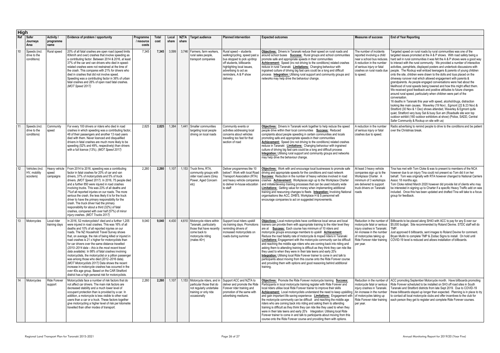| <b>High</b>     |                                              |                                     |                                                                                                                                                                                                                                                                                                                                                                                                                                                                                                                                                                                                                                                                                                                                                                                                                     |                                  |                      |                |               |                                                                                                                                             |                                                                                                                                                                                                                |                                                                                                                                                                                                                                                                                                                                                                                                                                                                                                                                                                                                                                                                                                                                                                                                                                                                                                                              |                                                                                                                                                                                               |                                                                                                                                                                                                                                                                                                                                                                                                                                                                                                                         |
|-----------------|----------------------------------------------|-------------------------------------|---------------------------------------------------------------------------------------------------------------------------------------------------------------------------------------------------------------------------------------------------------------------------------------------------------------------------------------------------------------------------------------------------------------------------------------------------------------------------------------------------------------------------------------------------------------------------------------------------------------------------------------------------------------------------------------------------------------------------------------------------------------------------------------------------------------------|----------------------------------|----------------------|----------------|---------------|---------------------------------------------------------------------------------------------------------------------------------------------|----------------------------------------------------------------------------------------------------------------------------------------------------------------------------------------------------------------|------------------------------------------------------------------------------------------------------------------------------------------------------------------------------------------------------------------------------------------------------------------------------------------------------------------------------------------------------------------------------------------------------------------------------------------------------------------------------------------------------------------------------------------------------------------------------------------------------------------------------------------------------------------------------------------------------------------------------------------------------------------------------------------------------------------------------------------------------------------------------------------------------------------------------|-----------------------------------------------------------------------------------------------------------------------------------------------------------------------------------------------|-------------------------------------------------------------------------------------------------------------------------------------------------------------------------------------------------------------------------------------------------------------------------------------------------------------------------------------------------------------------------------------------------------------------------------------------------------------------------------------------------------------------------|
| Ref             | <b>Safer</b><br>Journeys<br>Area             | Activity /<br>programme<br>name     | Evidence of problem / opportunity                                                                                                                                                                                                                                                                                                                                                                                                                                                                                                                                                                                                                                                                                                                                                                                   | Programme<br>/ resource<br>costs | <b>Total</b><br>cost | Local<br>share | NZTA<br>share | <b>Target audience</b>                                                                                                                      | <b>Planned intervention</b>                                                                                                                                                                                    | <b>Expected outcomes</b>                                                                                                                                                                                                                                                                                                                                                                                                                                                                                                                                                                                                                                                                                                                                                                                                                                                                                                     | <b>Measures of success</b>                                                                                                                                                                    | <b>End of Year Reporting</b>                                                                                                                                                                                                                                                                                                                                                                                                                                                                                            |
| 10 <sup>°</sup> | Speeds (incl.<br>drive to the<br>conditions) | Rural speed                         | 20% of all fatal crashes are open road (speed limits<br>80km/h and over) crashes that involve speeding as<br>a contributing factor. Between 2014 & 2016, at least<br>37% of the car and van drivers who died in speed-<br>related crashes were not restrained at the time of<br>the crash. This compares with 21% for drivers who<br>died in crashes that did not involve speed.<br>Speeding was a contributing factor in 36% of urban<br>fatal crashes and 28% of open road fatal crashes.<br>(MOT Speed 2017)                                                                                                                                                                                                                                                                                                     | 7,345                            | 7,345                | 3,599          |               | 3,746   Farmers, farm workers,<br>rural sales people,<br>transport companies                                                                | Rural speed - students<br>walking/cycling, speed past a<br>bus stopped to pick up/drop<br>off students, billboards<br>highlighting local issues,<br>advertising to act as<br>reminders, A & P show<br>delivery | Objectives: Drivers in Taranaki reduce their speed on rural roads and<br>around school buses Success: Rural groups and school communities<br>promote safe and appropriate speeds in their communities<br>Achievement: Speed (inc not driving to the conditions) related crashes<br>reduce in rural Taranaki Limitations: Changing behaviour with<br>ingrained culture of driving big fast cars could be a long and difficult<br>process Integration: Utilising rural support and community groups and<br>networks may help drive the behaviour change.                                                                                                                                                                                                                                                                                                                                                                       | The number of incidents<br>reported involving a child<br>near a school bus reduces<br>A reduction in the number<br>of serious injury or fatal<br>crashes on rural roads due<br>to speed.      | Targeted speed on rura<br>targeted issues promote<br>hard sell in rural commu<br>to interact with the rural<br>activities, pamphlets, di<br>people. The Rockup wa<br>onto the site, children w<br>driveway runover mat w<br>grandparents. As peopl<br>likelihood of rural speed<br>We received good feed<br>around rural speed, par<br>conversation.<br>16 deaths in Taranaki th<br>looking like main cause<br>Stratford (30 Nov & 1 D<br>quiet, Stratford very bus<br>outdoor exhibit (160 out<br>Safer Community & Ro |
| 11              | Speeds (incl.<br>drive to the<br>conditions) | Community<br>speed                  | For every 100 drivers or riders who died in road<br>crashes in which speeding was a contributing factor,<br>48 of their passengers and another 13 road users<br>died with them. Never licenced and disqualified<br>drivers in fatal crashes are much more likely to be<br>speeding (52% and 49%, respectively) than drivers<br>with a full licence (13%). (MOT Speed 2017)                                                                                                                                                                                                                                                                                                                                                                                                                                          | 2,825                            | 2,825                | 1,384          | 1.441         | Smaller communities<br>targeting local people<br>driving on local roads                                                                     | Community events or<br>activities addressing local<br>concerns about vehicles<br>travelling too fast for that<br>section of road                                                                               | Objectives: Drivers in Taranaki work together to help reduce the speed<br>people drive within their local communities Success: Reduced<br>complaints about people speeding in certain communities and locals<br>promoting safe and appropriate speeds in their communities<br>Achievement: Speed (inc not driving to the conditions) related crashes<br>reduce in Taranaki Limitations: Changing behaviour with ingrained<br>culture of driving big fast cars could be a long and difficult process<br><b>Integration:</b> Utilising rural support and community groups and networks<br>may help drive the behaviour change.                                                                                                                                                                                                                                                                                                 | A reduction in the number<br>of serious injury or fatal<br>crashes due to speed.                                                                                                              | Radio advertising to rer<br>over the Christmas brea                                                                                                                                                                                                                                                                                                                                                                                                                                                                     |
| 12              | Vehicles (incl.<br>HV, mobility<br>scooters) | Heavy vehicle<br>speed<br>campaigns | From 2014 to 2016, speeding was a contributing<br>factor in fatal crashes for 20% of car and van<br>drivers, 37% of motorcyclists and 5% of truck<br>drivers. (MOT Speed 2017). In 2016, 75 people died<br>and a further 850 were injured in road crashes<br>involving trucks. This was 23% of all deaths and<br>7% of all reported injuries on our roads. The more<br>serious the crash, the less likely it is for the truck<br>driver to have the primary responsibility for the<br>crash. The truck driver had the primary<br>responsibility for about a third (32%) of fatal<br>crashes, compared with over half (57%) of minor<br>injury crashes. (MOT Trucks 2017)                                                                                                                                            | 2,260                            | 2,260                | 1,107          |               | 1,153 Truck firms, RTA,<br>community groups with<br>older road users (Grey<br>Power, Aged Concern<br>etc)                                   | Deliver programmes like 10<br>below?. Work with local Road<br><b>Transport Association (RTA)</b><br>and heavy vehicle companies<br>to deliver in-house education<br>to staff                                   | Objectives: Work with and encourage local businesses to promote safe<br>driving and appropriate speeds for the conditions and road network<br>Success: Reduction in the number of heavy vehicles involved in road<br>crashes <b>Achievement:</b> Workplaces sign up to the Workplace Charter<br>and initiate/develop training processes that can be used industry wide<br><b>Limitations:</b> Getting value for money when implementing additional<br>training and resourcing changes to fleets Integration: Involving National<br>organisations like ACC, DHB'S, Workplace H & S personnel will<br>encourage companies to act on suggested improvements.                                                                                                                                                                                                                                                                    | At least 3 heavy vehicle<br>companies sign up to the<br>Workplace Charter. A<br>minimum of 3 workshops<br>are delivered to support<br>truck drivers on Taranaki<br>roads                      | Tina has met with Tom<br>however due to an injur<br>behalf. Tom was origin<br>Assoc 18 months ago.<br>Tom Cloke retired Marc<br>be interested in signing<br>included. Once this has<br>group for feedback.                                                                                                                                                                                                                                                                                                              |
| 13              | Motorcycles                                  | Local rider<br>training days        | In 2016, 52 motorcyclists1 died and a further 1,205<br>were injured in road crashes. This was 16% of all<br>deaths and 10% of all reported injuries on our<br>roads. The NZ Household Travel Survey shows<br>that, on average, the risk of being killed or injured in<br>road crashes is 21 x higher for motorcyclists than<br>for car drivers over the same distance travelled<br>(2010–2014 data – this is the most recent travel<br>data available). In 98% of fatal crashes involving<br>motorcyclists, the motorcyclist or a pillion passenger<br>was among those who died (2012-2016 data).<br>(MOT Motorcyclists 2017) Data shows the recent<br>increase in motorcycle crashes has occurred in the<br>over 40s age group. Based on the CAR Stratford<br>district has a high personal risk for motorcyclists. | 9,040                            | 9,040                | 4,430          |               | 4,610 Motorcycle riders within<br>Taranaki, particularly<br>those that have recently<br>come back to<br>motorcycle riding<br>(males $40+$ ) | Support local riders upskill<br>via training days. Promotions<br>reminding drivers of<br>increased motorcyclists on<br>roads during summer                                                                     | Objectives: Local motorcyclists have confidence local venue and local<br>trainers can provide them with appropriate training to the rider level they<br>are at Success: Each course has minimum of 10 riders and<br>motorcycle groups encourage members to upskill <b>Achievement:</b><br>Reduce the road fatality rate of motorcycle & moped riders in Taranaki<br><b>Limitations:</b> Engagement with the motorcycle community can be difficult<br>and reaching the middle age riders who are coming back into riding and<br>asking them to attending training is difficult as they think they can ride like<br>they used to when they were in their late teens and early 20's<br>Integration: Utilising local Ride Forever trainer to come in and talk to<br>participants about moving from this course onto the Ride Forever course<br>and providing them with options and good reasoning behind additional<br>training. | Reduction in the number of<br>motorcycle fatal or serious<br>injury crashes in Taranaki.<br>An increase in the number<br>of motorcycles taking up<br>Ride Forever rider training<br>per year. | Billboards to be placed<br>\$5,000 budget. Site red<br>TMP.<br>Just approved 6 billboat<br>Bryan Mullin to complet<br>COVID-19 level is redu                                                                                                                                                                                                                                                                                                                                                                            |
| 14              | Motorcycles                                  | <b>Ride Forever</b><br>support      | Motorcyclists face a number of risk factors that do<br>not affect car drivers. The main risk factors are<br>decreased stability and a much lower level of<br>occupant protection than is provided by a car. In<br>addition, a motorcycle is less visible to other road<br>users than a car or a truck. These factors together<br>give motorcycling a higher level of risk per kilometre<br>travelled than other modes of transport.                                                                                                                                                                                                                                                                                                                                                                                 | 2,260                            | 2,260                | 1,107          |               | 1,153 Motorcycle riders, and in<br>particular those that do<br>not regularly undertake<br>training or only ride<br>occasionally             | Support ACC and NZTA to<br>deliver and promote the Ride<br>Forever rider training and<br>promotion of the same with<br>advertising mediums.                                                                    | Objectives: Promote the Ride Forever motorcycle training Success:<br>Participants in local motorcycle training register with Ride Forever and<br>local riders utilise local Ride Forever trainer to improve their skills<br>Achievement: Local motorcyclists understand the need to keep upskilling<br>and gain important life saving experience Limitations: Engagement with<br>the motorcycle community can be difficult and reaching the middle age<br>riders who are coming back into riding and asking them to attending<br>training is difficult as they think they can ride like they used to when they<br>were in their late teens and early 20's  Integration: Utilising local Ride<br>Forever trainer to come in and talk to participants about moving from this<br>course onto the Ride Forever course and providing them with options.                                                                           | Reduction in the number of<br>motorcycle fatal or serious<br>injury crashes in Taranaki.<br>An increase in the number<br>of motorcycles taking up<br>Ride Forever rider training<br>per year. | <b>ACC promoting Septem</b><br>Ride Forever scheduled<br>Taranaki and Stratford<br>these billboards stayed<br>to contact all local moto<br>each person they get to                                                                                                                                                                                                                                                                                                                                                      |

| ess:                                                           | <b>End of Year Reporting</b>                                                                                                                                                                                                                                                                                                                                                                                                                                                                                                                                                                                                                                                                                                                                                                                                                                                                                                                                                                                                                                                                                                                                                                                                                                                                                                        |
|----------------------------------------------------------------|-------------------------------------------------------------------------------------------------------------------------------------------------------------------------------------------------------------------------------------------------------------------------------------------------------------------------------------------------------------------------------------------------------------------------------------------------------------------------------------------------------------------------------------------------------------------------------------------------------------------------------------------------------------------------------------------------------------------------------------------------------------------------------------------------------------------------------------------------------------------------------------------------------------------------------------------------------------------------------------------------------------------------------------------------------------------------------------------------------------------------------------------------------------------------------------------------------------------------------------------------------------------------------------------------------------------------------------|
| dents<br>a child<br>reduces.<br>number<br>fatal<br>ads due     | Targeted speed on rural roads by rural communities was one of the<br>targeted issues promoted at the A & P shows. With road safety being a<br>hard sell in rural communities it was felt the A & P shows were a good way<br>to interact with the rural community. We provided a number of interactive<br>activities, pamphlets, displayed posters and undertook discussions with<br>people. The Rockup wall enticed teenagers & parents of young children<br>onto the site, children were drawn to the dolls and toys placed on the<br>driveway runover mat which allowed engagement with parents &<br>grandparents. As people engaged conversations were had about the<br>likelihood of rural speeds being lowered and how this might affect them.<br>We received good feedback and positive attitudes to future changes<br>around rural speed, particularly when children were part of the<br>conversation.<br>16 deaths in Taranaki this year with speed, alcohol/drugs, distraction<br>looking like main causes. Waverley (19 Nov), Egmont (22 & 23 Nov) &<br>Stratford (30 Nov & 1 Dec) shows attended, Waverley & Egmont quite<br>quiet, Stratford very busy Sat & busy Sun am (Roadsafe site won top<br>outdoor exhibit (160 outdoor exhibitors at show) (Police, SADD, Central<br>Safer Community & Rockup on site with us) |
| number<br>fatal<br>ed.                                         | Radio advertising to remind people to drive to the conditions and be patient<br>over the Christmas break.                                                                                                                                                                                                                                                                                                                                                                                                                                                                                                                                                                                                                                                                                                                                                                                                                                                                                                                                                                                                                                                                                                                                                                                                                           |
| ehicle<br>to the<br>r. A<br>shops:<br>pport<br>ranaki          | Tina has met with Tom Cloke & was to present to members of the NCA<br>however due to an injury Tina could not present so Tom did it on her<br>behalf. Tom was originally with RTA however changed to National Carriers<br>Assoc 18 months ago.<br>Tom Cloke retired March 2020 however did provide list of clients who may<br>be interested in signing up to Charter if a specific Heavy Traffic add on was<br>included. Once this has been updated and drafted Tina will take to a focus<br>group for feedback.                                                                                                                                                                                                                                                                                                                                                                                                                                                                                                                                                                                                                                                                                                                                                                                                                    |
| umber of<br>serious<br>aranaki.<br>number<br>ng up<br>training | Billboards to be placed along SH43 with ACC to pay for any \$ over our<br>\$5,000 budget. Site recommended by Roland Devine. STDC staff will do<br>TMP.<br>Just approved 6 billboards, sent images to Roland Devine for comment.<br>Bryan Mullin to complete TMP & Zodiac Signs to install. On hold until<br>COVID-19 level is reduced and allows installation of billboards.                                                                                                                                                                                                                                                                                                                                                                                                                                                                                                                                                                                                                                                                                                                                                                                                                                                                                                                                                       |
| umber of<br>serious<br>aranaki.<br>number<br>ng up<br>training | ACC promoting September Motorcycle month. Have billboards promoting<br>Ride Forever scheduled to be installed on SH3 off road sites in South<br>Taranaki and Stratford districts from late Sept 2019. Due to COVID-19<br>these billboards stayed up longer than expected. Planning is in place to try<br>to contact all local motorcycle clubs and offer incentives to the club for<br>each person they get to register and complete Ride Forever courses.                                                                                                                                                                                                                                                                                                                                                                                                                                                                                                                                                                                                                                                                                                                                                                                                                                                                          |